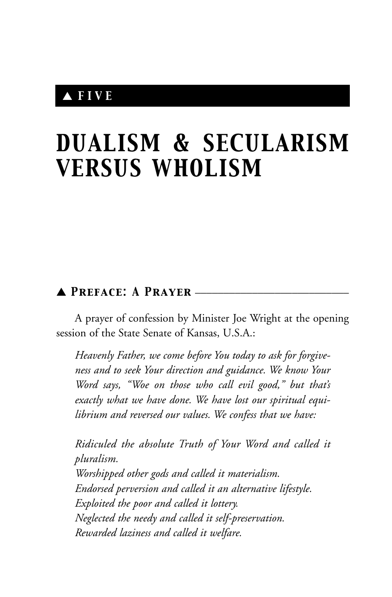# ▲ *FIVE*

# *DUALISM & SECULARISM VERSUS WHOLISM*

# ▲ *Preface: A Prayer* \_\_\_\_\_\_\_\_\_\_\_\_\_\_\_\_\_\_\_\_\_\_\_\_\_\_\_

A prayer of confession by Minister Joe Wright at the opening session of the State Senate of Kansas, U.S.A.:

*Heavenly Father, we come before You today to ask for forgiveness and to seek Your direction and guidance. We know Your Word says, "Woe on those who call evil good," but that's exactly what we have done. We have lost our spiritual equilibrium and reversed our values. We confess that we have:*

*Ridiculed the absolute Truth of Your Word and called it pluralism. Worshipped other gods and called it materialism. Endorsed perversion and called it an alternative lifestyle. Exploited the poor and called it lottery. Neglected the needy and called it self-preservation. Rewarded laziness and called it welfare.*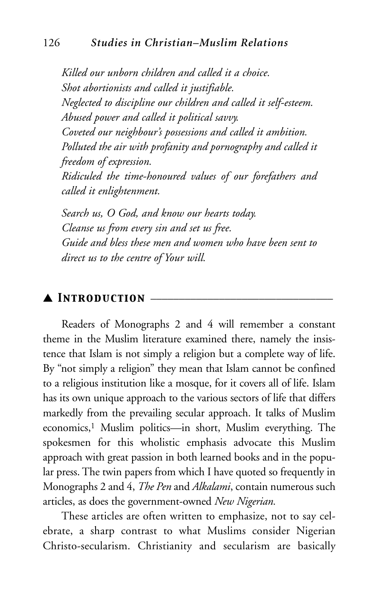#### 126 *Studies in Christian–Muslim Relations*

*Killed our unborn children and called it a choice. Shot abortionists and called it justifiable. Neglected to discipline our children and called it self-esteem. Abused power and called it political savvy. Coveted our neighbour's possessions and called it ambition. Polluted the air with profanity and pornography and called it freedom of expression. Ridiculed the time-honoured values of our forefathers and called it enlightenment.*

*Search us, O God, and know our hearts today. Cleanse us from every sin and set us free. Guide and bless these men and women who have been sent to direct us to the centre of Your will.*

#### ▲ *Introduction* \_\_\_\_\_\_\_\_\_\_\_\_\_\_\_\_\_\_\_\_\_\_\_\_\_\_\_\_\_\_\_\_

Readers of Monographs 2 and 4 will remember a constant theme in the Muslim literature examined there, namely the insistence that Islam is not simply a religion but a complete way of life. By "not simply a religion" they mean that Islam cannot be confined to a religious institution like a mosque, for it covers all of life. Islam has its own unique approach to the various sectors of life that differs markedly from the prevailing secular approach. It talks of Muslim economics,1 Muslim politics—in short, Muslim everything. The spokesmen for this wholistic emphasis advocate this Muslim approach with great passion in both learned books and in the popular press. The twin papers from which I have quoted so frequently in Monographs 2 and 4, *The Pen* and *Alkalami*, contain numerous such articles, as does the government-owned *New Nigerian.*

These articles are often written to emphasize, not to say celebrate, a sharp contrast to what Muslims consider Nigerian Christo-secularism. Christianity and secularism are basically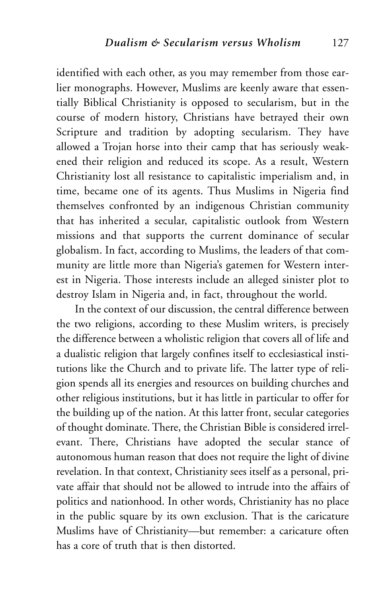identified with each other, as you may remember from those earlier monographs. However, Muslims are keenly aware that essentially Biblical Christianity is opposed to secularism, but in the course of modern history, Christians have betrayed their own Scripture and tradition by adopting secularism. They have allowed a Trojan horse into their camp that has seriously weakened their religion and reduced its scope. As a result, Western Christianity lost all resistance to capitalistic imperialism and, in time, became one of its agents. Thus Muslims in Nigeria find themselves confronted by an indigenous Christian community that has inherited a secular, capitalistic outlook from Western missions and that supports the current dominance of secular globalism. In fact, according to Muslims, the leaders of that community are little more than Nigeria's gatemen for Western interest in Nigeria. Those interests include an alleged sinister plot to destroy Islam in Nigeria and, in fact, throughout the world.

In the context of our discussion, the central difference between the two religions, according to these Muslim writers, is precisely the difference between a wholistic religion that covers all of life and a dualistic religion that largely confines itself to ecclesiastical institutions like the Church and to private life. The latter type of religion spends all its energies and resources on building churches and other religious institutions, but it has little in particular to offer for the building up of the nation. At this latter front, secular categories of thought dominate. There, the Christian Bible is considered irrelevant. There, Christians have adopted the secular stance of autonomous human reason that does not require the light of divine revelation. In that context, Christianity sees itself as a personal, private affair that should not be allowed to intrude into the affairs of politics and nationhood. In other words, Christianity has no place in the public square by its own exclusion. That is the caricature Muslims have of Christianity—but remember: a caricature often has a core of truth that is then distorted.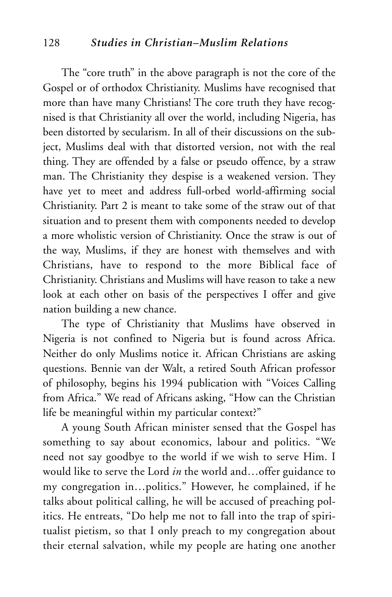#### 128 *Studies in Christian–Muslim Relations*

The "core truth" in the above paragraph is not the core of the Gospel or of orthodox Christianity. Muslims have recognised that more than have many Christians! The core truth they have recognised is that Christianity all over the world, including Nigeria, has been distorted by secularism. In all of their discussions on the subject, Muslims deal with that distorted version, not with the real thing. They are offended by a false or pseudo offence, by a straw man. The Christianity they despise is a weakened version. They have yet to meet and address full-orbed world-affirming social Christianity. Part 2 is meant to take some of the straw out of that situation and to present them with components needed to develop a more wholistic version of Christianity. Once the straw is out of the way, Muslims, if they are honest with themselves and with Christians, have to respond to the more Biblical face of Christianity. Christians and Muslims will have reason to take a new look at each other on basis of the perspectives I offer and give nation building a new chance.

The type of Christianity that Muslims have observed in Nigeria is not confined to Nigeria but is found across Africa. Neither do only Muslims notice it. African Christians are asking questions. Bennie van der Walt, a retired South African professor of philosophy, begins his 1994 publication with "Voices Calling from Africa." We read of Africans asking, "How can the Christian life be meaningful within my particular context?"

A young South African minister sensed that the Gospel has something to say about economics, labour and politics. "We need not say goodbye to the world if we wish to serve Him. I would like to serve the Lord *in* the world and…offer guidance to my congregation in…politics." However, he complained, if he talks about political calling, he will be accused of preaching politics. He entreats, "Do help me not to fall into the trap of spiritualist pietism, so that I only preach to my congregation about their eternal salvation, while my people are hating one another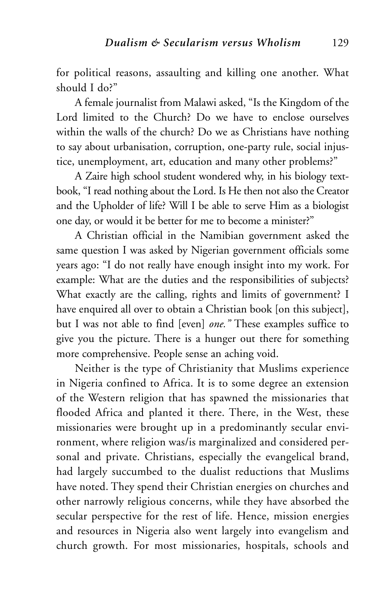for political reasons, assaulting and killing one another. What should I do?"

A female journalist from Malawi asked, "Is the Kingdom of the Lord limited to the Church? Do we have to enclose ourselves within the walls of the church? Do we as Christians have nothing to say about urbanisation, corruption, one-party rule, social injustice, unemployment, art, education and many other problems?"

A Zaire high school student wondered why, in his biology textbook, "I read nothing about the Lord. Is He then not also the Creator and the Upholder of life? Will I be able to serve Him as a biologist one day, or would it be better for me to become a minister?"

A Christian official in the Namibian government asked the same question I was asked by Nigerian government officials some years ago: "I do not really have enough insight into my work. For example: What are the duties and the responsibilities of subjects? What exactly are the calling, rights and limits of government? I have enquired all over to obtain a Christian book [on this subject], but I was not able to find [even] *one."* These examples suffice to give you the picture. There is a hunger out there for something more comprehensive. People sense an aching void.

Neither is the type of Christianity that Muslims experience in Nigeria confined to Africa. It is to some degree an extension of the Western religion that has spawned the missionaries that flooded Africa and planted it there. There, in the West, these missionaries were brought up in a predominantly secular environment, where religion was/is marginalized and considered personal and private. Christians, especially the evangelical brand, had largely succumbed to the dualist reductions that Muslims have noted. They spend their Christian energies on churches and other narrowly religious concerns, while they have absorbed the secular perspective for the rest of life. Hence, mission energies and resources in Nigeria also went largely into evangelism and church growth. For most missionaries, hospitals, schools and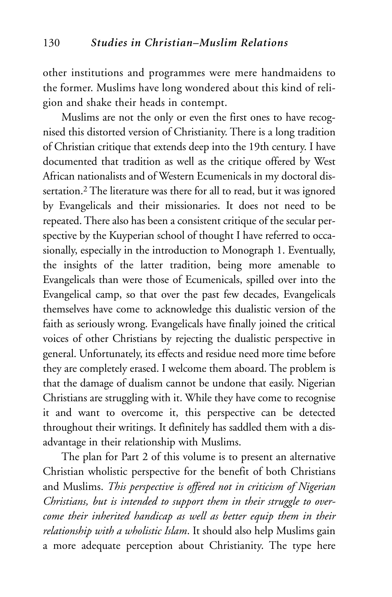other institutions and programmes were mere handmaidens to the former. Muslims have long wondered about this kind of religion and shake their heads in contempt.

Muslims are not the only or even the first ones to have recognised this distorted version of Christianity. There is a long tradition of Christian critique that extends deep into the 19th century. I have documented that tradition as well as the critique offered by West African nationalists and of Western Ecumenicals in my doctoral dissertation.<sup>2</sup> The literature was there for all to read, but it was ignored by Evangelicals and their missionaries. It does not need to be repeated. There also has been a consistent critique of the secular perspective by the Kuyperian school of thought I have referred to occasionally, especially in the introduction to Monograph 1. Eventually, the insights of the latter tradition, being more amenable to Evangelicals than were those of Ecumenicals, spilled over into the Evangelical camp, so that over the past few decades, Evangelicals themselves have come to acknowledge this dualistic version of the faith as seriously wrong. Evangelicals have finally joined the critical voices of other Christians by rejecting the dualistic perspective in general. Unfortunately, its effects and residue need more time before they are completely erased. I welcome them aboard. The problem is that the damage of dualism cannot be undone that easily. Nigerian Christians are struggling with it. While they have come to recognise it and want to overcome it, this perspective can be detected throughout their writings. It definitely has saddled them with a disadvantage in their relationship with Muslims.

The plan for Part 2 of this volume is to present an alternative Christian wholistic perspective for the benefit of both Christians and Muslims. *This perspective is offered not in criticism of Nigerian Christians, but is intended to support them in their struggle to overcome their inherited handicap as well as better equip them in their relationship with a wholistic Islam*. It should also help Muslims gain a more adequate perception about Christianity. The type here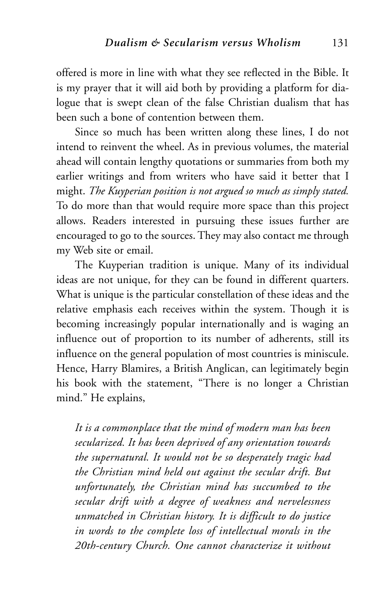offered is more in line with what they see reflected in the Bible. It is my prayer that it will aid both by providing a platform for dialogue that is swept clean of the false Christian dualism that has been such a bone of contention between them.

Since so much has been written along these lines, I do not intend to reinvent the wheel. As in previous volumes, the material ahead will contain lengthy quotations or summaries from both my earlier writings and from writers who have said it better that I might. *The Kuyperian position is not argued so much as simply stated.* To do more than that would require more space than this project allows. Readers interested in pursuing these issues further are encouraged to go to the sources. They may also contact me through my Web site or email.

The Kuyperian tradition is unique. Many of its individual ideas are not unique, for they can be found in different quarters. What is unique is the particular constellation of these ideas and the relative emphasis each receives within the system. Though it is becoming increasingly popular internationally and is waging an influence out of proportion to its number of adherents, still its influence on the general population of most countries is miniscule. Hence, Harry Blamires, a British Anglican, can legitimately begin his book with the statement, "There is no longer a Christian mind." He explains,

*It is a commonplace that the mind of modern man has been secularized. It has been deprived of any orientation towards the supernatural. It would not be so desperately tragic had the Christian mind held out against the secular drift. But unfortunately, the Christian mind has succumbed to the secular drift with a degree of weakness and nervelessness unmatched in Christian history. It is difficult to do justice in words to the complete loss of intellectual morals in the 20th-century Church. One cannot characterize it without*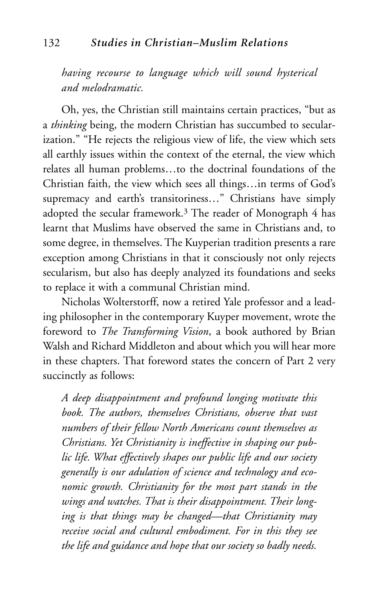*having recourse to language which will sound hysterical and melodramatic.*

Oh, yes, the Christian still maintains certain practices, "but as a *thinking* being, the modern Christian has succumbed to secularization." "He rejects the religious view of life, the view which sets all earthly issues within the context of the eternal, the view which relates all human problems…to the doctrinal foundations of the Christian faith, the view which sees all things…in terms of God's supremacy and earth's transitoriness…" Christians have simply adopted the secular framework.3 The reader of Monograph 4 has learnt that Muslims have observed the same in Christians and, to some degree, in themselves. The Kuyperian tradition presents a rare exception among Christians in that it consciously not only rejects secularism, but also has deeply analyzed its foundations and seeks to replace it with a communal Christian mind.

Nicholas Wolterstorff, now a retired Yale professor and a leading philosopher in the contemporary Kuyper movement, wrote the foreword to *The Transforming Vision*, a book authored by Brian Walsh and Richard Middleton and about which you will hear more in these chapters. That foreword states the concern of Part 2 very succinctly as follows:

*A deep disappointment and profound longing motivate this book. The authors, themselves Christians, observe that vast numbers of their fellow North Americans count themselves as Christians. Yet Christianity is ineffective in shaping our public life. What effectively shapes our public life and our society generally is our adulation of science and technology and economic growth. Christianity for the most part stands in the wings and watches. That is their disappointment. Their longing is that things may be changed—that Christianity may receive social and cultural embodiment. For in this they see the life and guidance and hope that our society so badly needs.*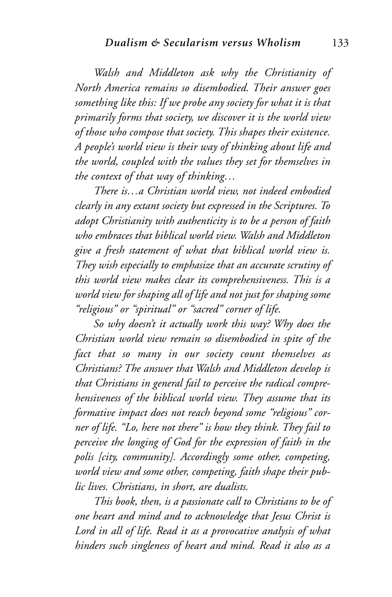*Walsh and Middleton ask why the Christianity of North America remains so disembodied. Their answer goes something like this: If we probe any society for what it is that primarily forms that society, we discover it is the world view of those who compose that society. This shapes their existence. A people's world view is their way of thinking about life and the world, coupled with the values they set for themselves in the context of that way of thinking…*

*There is…a Christian world view, not indeed embodied clearly in any extant society but expressed in the Scriptures. To adopt Christianity with authenticity is to be a person of faith who embraces that biblical world view. Walsh and Middleton give a fresh statement of what that biblical world view is. They wish especially to emphasize that an accurate scrutiny of this world view makes clear its comprehensiveness. This is a world view for shaping all of life and not just for shaping some "religious" or "spiritual" or "sacred" corner of life.*

*So why doesn't it actually work this way? Why does the Christian world view remain so disembodied in spite of the fact that so many in our society count themselves as Christians? The answer that Walsh and Middleton develop is that Christians in general fail to perceive the radical comprehensiveness of the biblical world view. They assume that its formative impact does not reach beyond some "religious" corner of life. "Lo, here not there" is how they think. They fail to perceive the longing of God for the expression of faith in the polis [city, community]. Accordingly some other, competing, world view and some other, competing, faith shape their public lives. Christians, in short, are dualists.*

*This book, then, is a passionate call to Christians to be of one heart and mind and to acknowledge that Jesus Christ is Lord in all of life. Read it as a provocative analysis of what hinders such singleness of heart and mind. Read it also as a*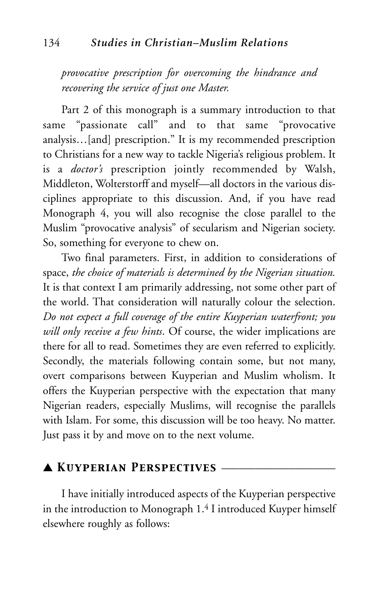*provocative prescription for overcoming the hindrance and recovering the service of just one Master.*

Part 2 of this monograph is a summary introduction to that same "passionate call" and to that same "provocative analysis…[and] prescription." It is my recommended prescription to Christians for a new way to tackle Nigeria's religious problem. It is a *doctor's* prescription jointly recommended by Walsh, Middleton, Wolterstorff and myself—all doctors in the various disciplines appropriate to this discussion. And, if you have read Monograph 4, you will also recognise the close parallel to the Muslim "provocative analysis" of secularism and Nigerian society. So, something for everyone to chew on.

Two final parameters. First, in addition to considerations of space, *the choice of materials is determined by the Nigerian situation.* It is that context I am primarily addressing, not some other part of the world. That consideration will naturally colour the selection. *Do not expect a full coverage of the entire Kuyperian waterfront; you will only receive a few hints*. Of course, the wider implications are there for all to read. Sometimes they are even referred to explicitly. Secondly, the materials following contain some, but not many, overt comparisons between Kuyperian and Muslim wholism. It offers the Kuyperian perspective with the expectation that many Nigerian readers, especially Muslims, will recognise the parallels with Islam. For some, this discussion will be too heavy. No matter. Just pass it by and move on to the next volume.

# ▲ *Kuyperian Perspectives* \_\_\_\_\_\_\_\_\_\_\_\_\_\_\_\_\_\_\_\_

I have initially introduced aspects of the Kuyperian perspective in the introduction to Monograph 1.4 I introduced Kuyper himself elsewhere roughly as follows: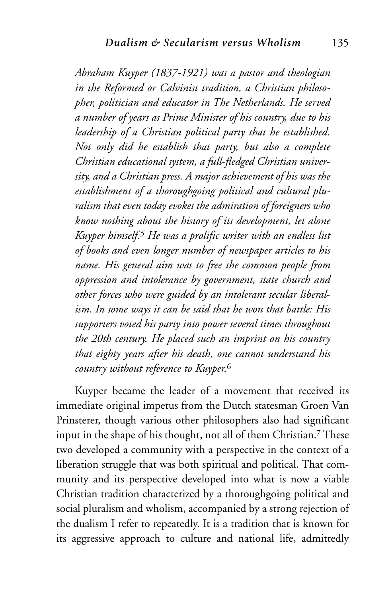*Abraham Kuyper (1837-1921) was a pastor and theologian in the Reformed or Calvinist tradition, a Christian philosopher, politician and educator in The Netherlands. He served a number of years as Prime Minister of his country, due to his leadership of a Christian political party that he established. Not only did he establish that party, but also a complete Christian educational system, a full-fledged Christian university, and a Christian press. A major achievement of his was the establishment of a thoroughgoing political and cultural pluralism that even today evokes the admiration of foreigners who know nothing about the history of its development, let alone Kuyper himself.5 He was a prolific writer with an endless list of books and even longer number of newspaper articles to his name. His general aim was to free the common people from oppression and intolerance by government, state church and other forces who were guided by an intolerant secular liberalism. In some ways it can be said that he won that battle: His supporters voted his party into power several times throughout the 20th century. He placed such an imprint on his country that eighty years after his death, one cannot understand his country without reference to Kuyper.*<sup>6</sup>

Kuyper became the leader of a movement that received its immediate original impetus from the Dutch statesman Groen Van Prinsterer, though various other philosophers also had significant input in the shape of his thought, not all of them Christian.7 These two developed a community with a perspective in the context of a liberation struggle that was both spiritual and political. That community and its perspective developed into what is now a viable Christian tradition characterized by a thoroughgoing political and social pluralism and wholism, accompanied by a strong rejection of the dualism I refer to repeatedly. It is a tradition that is known for its aggressive approach to culture and national life, admittedly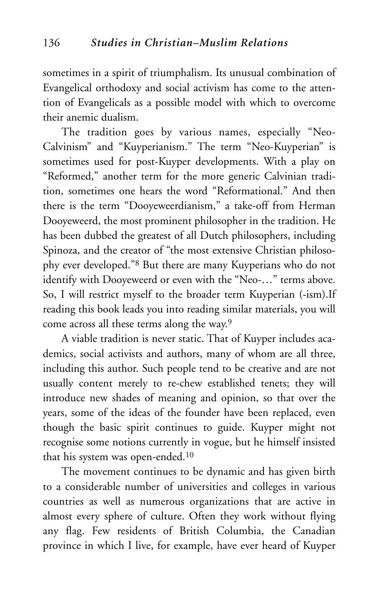sometimes in a spirit of triumphalism. Its unusual combination of Evangelical orthodoxy and social activism has come to the attention of Evangelicals as a possible model with which to overcome their anemic dualism.

The tradition goes by various names, especially "Neo-Calvinism" and "Kuyperianism." The term "Neo-Kuyperian" is sometimes used for post-Kuyper developments. With a play on "Reformed," another term for the more generic Calvinian tradition, sometimes one hears the word "Reformational." And then there is the term "Dooyeweerdianism," a take-off from Herman Dooyeweerd, the most prominent philosopher in the tradition. He has been dubbed the greatest of all Dutch philosophers, including Spinoza, and the creator of "the most extensive Christian philosophy ever developed."8 But there are many Kuyperians who do not identify with Dooyeweerd or even with the "Neo-…" terms above. So, I will restrict myself to the broader term Kuyperian (-ism).If reading this book leads you into reading similar materials, you will come across all these terms along the way.9

A viable tradition is never static. That of Kuyper includes academics, social activists and authors, many of whom are all three, including this author. Such people tend to be creative and are not usually content merely to re-chew established tenets; they will introduce new shades of meaning and opinion, so that over the years, some of the ideas of the founder have been replaced, even though the basic spirit continues to guide. Kuyper might not recognise some notions currently in vogue, but he himself insisted that his system was open-ended.10

The movement continues to be dynamic and has given birth to a considerable number of universities and colleges in various countries as well as numerous organizations that are active in almost every sphere of culture. Often they work without flying any flag. Few residents of British Columbia, the Canadian province in which I live, for example, have ever heard of Kuyper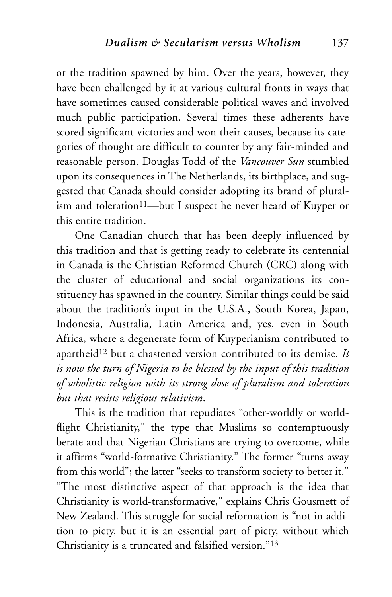or the tradition spawned by him. Over the years, however, they have been challenged by it at various cultural fronts in ways that have sometimes caused considerable political waves and involved much public participation. Several times these adherents have scored significant victories and won their causes, because its categories of thought are difficult to counter by any fair-minded and reasonable person. Douglas Todd of the *Vancouver Sun* stumbled upon its consequences in The Netherlands, its birthplace, and suggested that Canada should consider adopting its brand of pluralism and toleration<sup>11</sup>—but I suspect he never heard of Kuyper or this entire tradition.

One Canadian church that has been deeply influenced by this tradition and that is getting ready to celebrate its centennial in Canada is the Christian Reformed Church (CRC) along with the cluster of educational and social organizations its constituency has spawned in the country. Similar things could be said about the tradition's input in the U.S.A., South Korea, Japan, Indonesia, Australia, Latin America and, yes, even in South Africa, where a degenerate form of Kuyperianism contributed to apartheid12 but a chastened version contributed to its demise. *It is now the turn of Nigeria to be blessed by the input of this tradition of wholistic religion with its strong dose of pluralism and toleration but that resists religious relativism*.

This is the tradition that repudiates "other-worldly or worldflight Christianity," the type that Muslims so contemptuously berate and that Nigerian Christians are trying to overcome, while it affirms "world-formative Christianity." The former "turns away from this world"; the latter "seeks to transform society to better it." "The most distinctive aspect of that approach is the idea that Christianity is world-transformative," explains Chris Gousmett of New Zealand. This struggle for social reformation is "not in addition to piety, but it is an essential part of piety, without which Christianity is a truncated and falsified version."13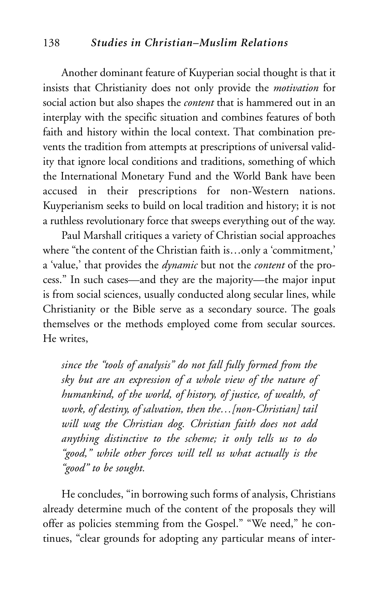#### 138 *Studies in Christian–Muslim Relations*

Another dominant feature of Kuyperian social thought is that it insists that Christianity does not only provide the *motivation* for social action but also shapes the *content* that is hammered out in an interplay with the specific situation and combines features of both faith and history within the local context. That combination prevents the tradition from attempts at prescriptions of universal validity that ignore local conditions and traditions, something of which the International Monetary Fund and the World Bank have been accused in their prescriptions for non-Western nations. Kuyperianism seeks to build on local tradition and history; it is not a ruthless revolutionary force that sweeps everything out of the way.

Paul Marshall critiques a variety of Christian social approaches where "the content of the Christian faith is…only a 'commitment,' a 'value,' that provides the *dynamic* but not the *content* of the process." In such cases—and they are the majority—the major input is from social sciences, usually conducted along secular lines, while Christianity or the Bible serve as a secondary source. The goals themselves or the methods employed come from secular sources. He writes.

*since the "tools of analysis" do not fall fully formed from the sky but are an expression of a whole view of the nature of humankind, of the world, of history, of justice, of wealth, of work, of destiny, of salvation, then the…[non-Christian] tail will wag the Christian dog. Christian faith does not add anything distinctive to the scheme; it only tells us to do "good," while other forces will tell us what actually is the "good" to be sought.*

He concludes, "in borrowing such forms of analysis, Christians already determine much of the content of the proposals they will offer as policies stemming from the Gospel." "We need," he continues, "clear grounds for adopting any particular means of inter-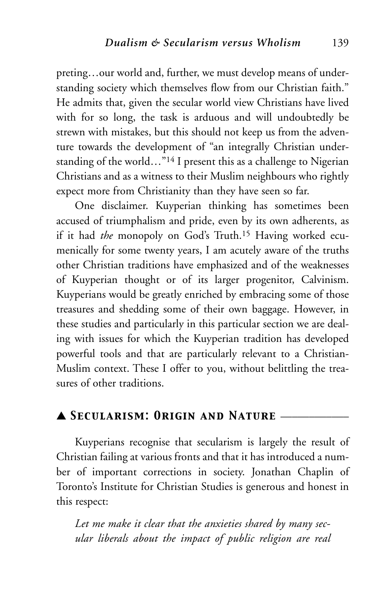preting…our world and, further, we must develop means of understanding society which themselves flow from our Christian faith." He admits that, given the secular world view Christians have lived with for so long, the task is arduous and will undoubtedly be strewn with mistakes, but this should not keep us from the adventure towards the development of "an integrally Christian understanding of the world..."<sup>14</sup> I present this as a challenge to Nigerian Christians and as a witness to their Muslim neighbours who rightly expect more from Christianity than they have seen so far.

One disclaimer. Kuyperian thinking has sometimes been accused of triumphalism and pride, even by its own adherents, as if it had *the* monopoly on God's Truth.15 Having worked ecumenically for some twenty years, I am acutely aware of the truths other Christian traditions have emphasized and of the weaknesses of Kuyperian thought or of its larger progenitor, Calvinism. Kuyperians would be greatly enriched by embracing some of those treasures and shedding some of their own baggage. However, in these studies and particularly in this particular section we are dealing with issues for which the Kuyperian tradition has developed powerful tools and that are particularly relevant to a Christian-Muslim context. These I offer to you, without belittling the treasures of other traditions.

# ▲ *Secularism: Origin and Nature* \_\_\_\_\_\_\_\_\_\_\_\_

Kuyperians recognise that secularism is largely the result of Christian failing at various fronts and that it has introduced a number of important corrections in society. Jonathan Chaplin of Toronto's Institute for Christian Studies is generous and honest in this respect:

*Let me make it clear that the anxieties shared by many secular liberals about the impact of public religion are real*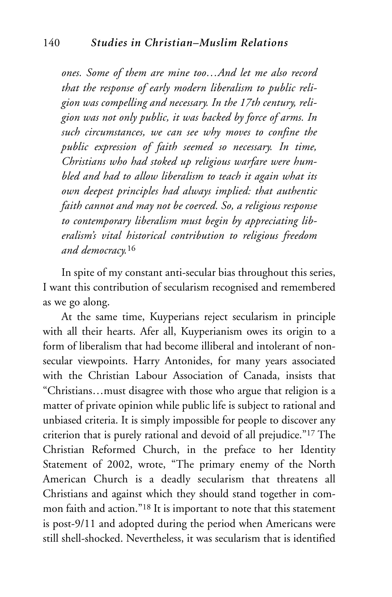*ones. Some of them are mine too…And let me also record that the response of early modern liberalism to public religion was compelling and necessary. In the 17th century, religion was not only public, it was backed by force of arms. In such circumstances, we can see why moves to confine the public expression of faith seemed so necessary. In time, Christians who had stoked up religious warfare were humbled and had to allow liberalism to teach it again what its own deepest principles had always implied: that authentic faith cannot and may not be coerced. So, a religious response to contemporary liberalism must begin by appreciating liberalism's vital historical contribution to religious freedom and democracy.*<sup>16</sup>

In spite of my constant anti-secular bias throughout this series, I want this contribution of secularism recognised and remembered as we go along.

At the same time, Kuyperians reject secularism in principle with all their hearts. Afer all, Kuyperianism owes its origin to a form of liberalism that had become illiberal and intolerant of nonsecular viewpoints. Harry Antonides, for many years associated with the Christian Labour Association of Canada, insists that "Christians…must disagree with those who argue that religion is a matter of private opinion while public life is subject to rational and unbiased criteria. It is simply impossible for people to discover any criterion that is purely rational and devoid of all prejudice."17 The Christian Reformed Church, in the preface to her Identity Statement of 2002, wrote, "The primary enemy of the North American Church is a deadly secularism that threatens all Christians and against which they should stand together in common faith and action."18 It is important to note that this statement is post-9/11 and adopted during the period when Americans were still shell-shocked. Nevertheless, it was secularism that is identified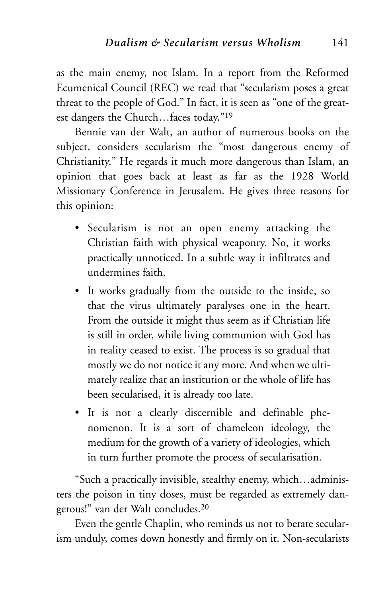as the main enemy, not Islam. In a report from the Reformed Ecumenical Council (REC) we read that "secularism poses a great threat to the people of God." In fact, it is seen as "one of the greatest dangers the Church…faces today."19

Bennie van der Walt, an author of numerous books on the subject, considers secularism the "most dangerous enemy of Christianity." He regards it much more dangerous than Islam, an opinion that goes back at least as far as the 1928 World Missionary Conference in Jerusalem. He gives three reasons for this opinion:

- Secularism is not an open enemy attacking the Christian faith with physical weaponry. No, it works practically unnoticed. In a subtle way it infiltrates and undermines faith.
- It works gradually from the outside to the inside, so that the virus ultimately paralyses one in the heart. From the outside it might thus seem as if Christian life is still in order, while living communion with God has in reality ceased to exist. The process is so gradual that mostly we do not notice it any more. And when we ultimately realize that an institution or the whole of life has been secularised, it is already too late.
- It is not a clearly discernible and definable phenomenon. It is a sort of chameleon ideology, the medium for the growth of a variety of ideologies, which in turn further promote the process of secularisation.

"Such a practically invisible, stealthy enemy, which…administers the poison in tiny doses, must be regarded as extremely dangerous!" van der Walt concludes.20

Even the gentle Chaplin, who reminds us not to berate secularism unduly, comes down honestly and firmly on it. Non-secularists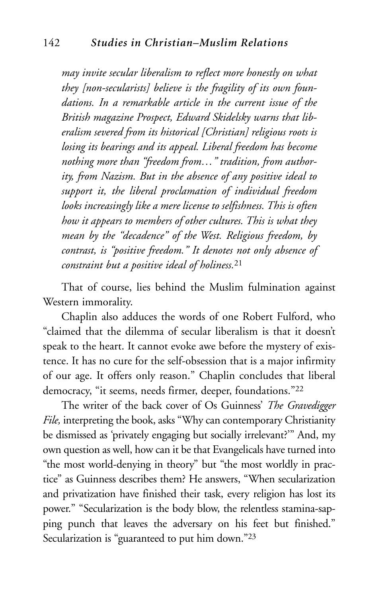*may invite secular liberalism to reflect more honestly on what they [non-secularists] believe is the fragility of its own foundations. In a remarkable article in the current issue of the British magazine Prospect, Edward Skidelsky warns that liberalism severed from its historical [Christian] religious roots is losing its bearings and its appeal. Liberal freedom has become nothing more than "freedom from…" tradition, from authority, from Nazism. But in the absence of any positive ideal to support it, the liberal proclamation of individual freedom looks increasingly like a mere license to selfishness. This is often how it appears to members of other cultures. This is what they mean by the "decadence" of the West. Religious freedom, by contrast, is "positive freedom." It denotes not only absence of constraint but a positive ideal of holiness.*<sup>21</sup>

That of course, lies behind the Muslim fulmination against Western immorality.

Chaplin also adduces the words of one Robert Fulford, who "claimed that the dilemma of secular liberalism is that it doesn't speak to the heart. It cannot evoke awe before the mystery of existence. It has no cure for the self-obsession that is a major infirmity of our age. It offers only reason." Chaplin concludes that liberal democracy, "it seems, needs firmer, deeper, foundations."22

The writer of the back cover of Os Guinness' *The Gravedigger File,* interpreting the book, asks "Why can contemporary Christianity be dismissed as 'privately engaging but socially irrelevant?'" And, my own question as well, how can it be that Evangelicals have turned into "the most world-denying in theory" but "the most worldly in practice" as Guinness describes them? He answers, "When secularization and privatization have finished their task, every religion has lost its power." "Secularization is the body blow, the relentless stamina-sapping punch that leaves the adversary on his feet but finished." Secularization is "guaranteed to put him down."23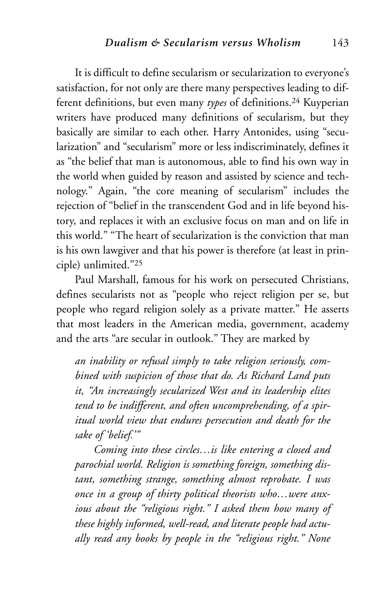It is difficult to define secularism or secularization to everyone's satisfaction, for not only are there many perspectives leading to different definitions, but even many *types* of definitions.24 Kuyperian writers have produced many definitions of secularism, but they basically are similar to each other. Harry Antonides, using "secularization" and "secularism" more or less indiscriminately, defines it as "the belief that man is autonomous, able to find his own way in the world when guided by reason and assisted by science and technology." Again, "the core meaning of secularism" includes the rejection of "belief in the transcendent God and in life beyond history, and replaces it with an exclusive focus on man and on life in this world." "The heart of secularization is the conviction that man is his own lawgiver and that his power is therefore (at least in principle) unlimited."25

Paul Marshall, famous for his work on persecuted Christians, defines secularists not as "people who reject religion per se, but people who regard religion solely as a private matter." He asserts that most leaders in the American media, government, academy and the arts "are secular in outlook." They are marked by

*an inability or refusal simply to take religion seriously, combined with suspicion of those that do. As Richard Land puts it, "An increasingly secularized West and its leadership elites tend to be indifferent, and often uncomprehending, of a spiritual world view that endures persecution and death for the sake of 'belief.'"*

*Coming into these circles…is like entering a closed and parochial world. Religion is something foreign, something distant, something strange, something almost reprobate. I was once in a group of thirty political theorists who…were anxious about the "religious right." I asked them how many of these highly informed, well-read, and literate people had actually read any books by people in the "religious right." None*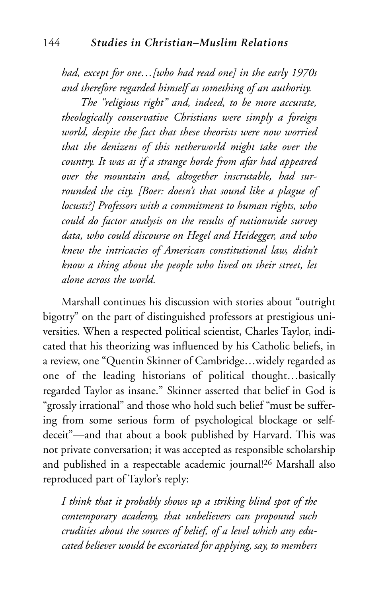*had, except for one…[who had read one] in the early 1970s and therefore regarded himself as something of an authority.*

*The "religious right" and, indeed, to be more accurate, theologically conservative Christians were simply a foreign world, despite the fact that these theorists were now worried that the denizens of this netherworld might take over the country. It was as if a strange horde from afar had appeared over the mountain and, altogether inscrutable, had surrounded the city. [Boer: doesn't that sound like a plague of locusts?] Professors with a commitment to human rights, who could do factor analysis on the results of nationwide survey data, who could discourse on Hegel and Heidegger, and who knew the intricacies of American constitutional law, didn't know a thing about the people who lived on their street, let alone across the world.*

Marshall continues his discussion with stories about "outright bigotry" on the part of distinguished professors at prestigious universities. When a respected political scientist, Charles Taylor, indicated that his theorizing was influenced by his Catholic beliefs, in a review, one "Quentin Skinner of Cambridge…widely regarded as one of the leading historians of political thought…basically regarded Taylor as insane." Skinner asserted that belief in God is "grossly irrational" and those who hold such belief "must be suffering from some serious form of psychological blockage or selfdeceit"—and that about a book published by Harvard. This was not private conversation; it was accepted as responsible scholarship and published in a respectable academic journal!26 Marshall also reproduced part of Taylor's reply:

*I think that it probably shows up a striking blind spot of the contemporary academy, that unbelievers can propound such crudities about the sources of belief, of a level which any educated believer would be excoriated for applying, say, to members*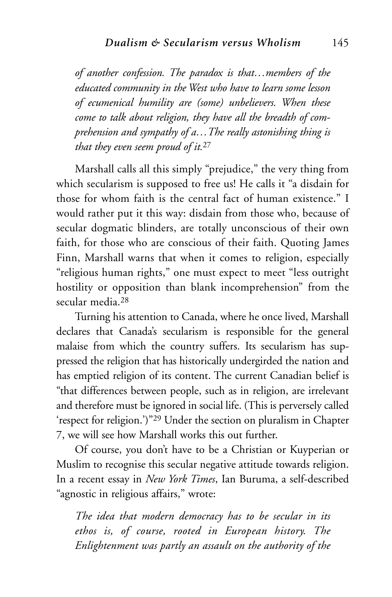*of another confession. The paradox is that…members of the educated community in the West who have to learn some lesson of ecumenical humility are (some) unbelievers. When these come to talk about religion, they have all the breadth of comprehension and sympathy of a…The really astonishing thing is that they even seem proud of it.*<sup>27</sup>

Marshall calls all this simply "prejudice," the very thing from which secularism is supposed to free us! He calls it "a disdain for those for whom faith is the central fact of human existence." I would rather put it this way: disdain from those who, because of secular dogmatic blinders, are totally unconscious of their own faith, for those who are conscious of their faith. Quoting James Finn, Marshall warns that when it comes to religion, especially "religious human rights," one must expect to meet "less outright hostility or opposition than blank incomprehension" from the secular media.28

Turning his attention to Canada, where he once lived, Marshall declares that Canada's secularism is responsible for the general malaise from which the country suffers. Its secularism has suppressed the religion that has historically undergirded the nation and has emptied religion of its content. The current Canadian belief is "that differences between people, such as in religion, are irrelevant and therefore must be ignored in social life. (This is perversely called 'respect for religion.')"29 Under the section on pluralism in Chapter 7, we will see how Marshall works this out further.

Of course, you don't have to be a Christian or Kuyperian or Muslim to recognise this secular negative attitude towards religion. In a recent essay in *New York Times*, Ian Buruma, a self-described "agnostic in religious affairs," wrote:

*The idea that modern democracy has to be secular in its ethos is, of course, rooted in European history. The Enlightenment was partly an assault on the authority of the*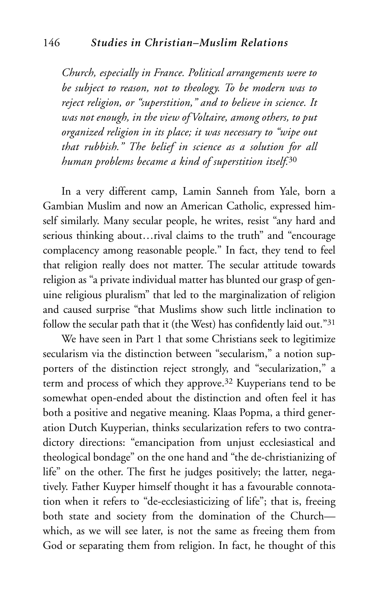*Church, especially in France. Political arrangements were to be subject to reason, not to theology. To be modern was to reject religion, or "superstition," and to believe in science. It was not enough, in the view of Voltaire, among others, to put organized religion in its place; it was necessary to "wipe out that rubbish." The belief in science as a solution for all human problems became a kind of superstition itself.*<sup>30</sup>

In a very different camp, Lamin Sanneh from Yale, born a Gambian Muslim and now an American Catholic, expressed himself similarly. Many secular people, he writes, resist "any hard and serious thinking about...rival claims to the truth" and "encourage complacency among reasonable people." In fact, they tend to feel that religion really does not matter. The secular attitude towards religion as "a private individual matter has blunted our grasp of genuine religious pluralism" that led to the marginalization of religion and caused surprise "that Muslims show such little inclination to follow the secular path that it (the West) has confidently laid out."31

We have seen in Part 1 that some Christians seek to legitimize secularism via the distinction between "secularism," a notion supporters of the distinction reject strongly, and "secularization," a term and process of which they approve.<sup>32</sup> Kuyperians tend to be somewhat open-ended about the distinction and often feel it has both a positive and negative meaning. Klaas Popma, a third generation Dutch Kuyperian, thinks secularization refers to two contradictory directions: "emancipation from unjust ecclesiastical and theological bondage" on the one hand and "the de-christianizing of life" on the other. The first he judges positively; the latter, negatively. Father Kuyper himself thought it has a favourable connotation when it refers to "de-ecclesiasticizing of life"; that is, freeing both state and society from the domination of the Church which, as we will see later, is not the same as freeing them from God or separating them from religion. In fact, he thought of this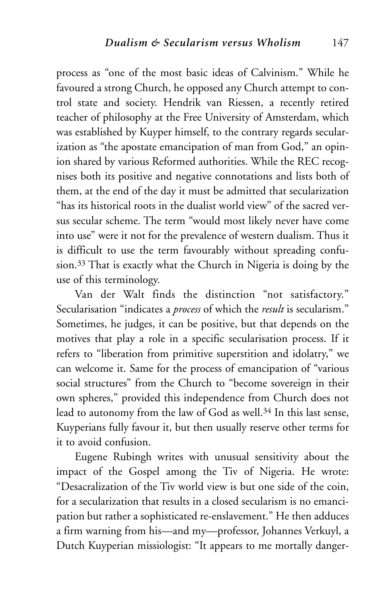process as "one of the most basic ideas of Calvinism." While he favoured a strong Church, he opposed any Church attempt to control state and society. Hendrik van Riessen, a recently retired teacher of philosophy at the Free University of Amsterdam, which was established by Kuyper himself, to the contrary regards secularization as "the apostate emancipation of man from God," an opinion shared by various Reformed authorities. While the REC recognises both its positive and negative connotations and lists both of them, at the end of the day it must be admitted that secularization "has its historical roots in the dualist world view" of the sacred versus secular scheme. The term "would most likely never have come into use" were it not for the prevalence of western dualism. Thus it is difficult to use the term favourably without spreading confusion.33 That is exactly what the Church in Nigeria is doing by the use of this terminology.

Van der Walt finds the distinction "not satisfactory." Secularisation "indicates a *process* of which the *result* is secularism." Sometimes, he judges, it can be positive, but that depends on the motives that play a role in a specific secularisation process. If it refers to "liberation from primitive superstition and idolatry," we can welcome it. Same for the process of emancipation of "various social structures" from the Church to "become sovereign in their own spheres," provided this independence from Church does not lead to autonomy from the law of God as well.<sup>34</sup> In this last sense, Kuyperians fully favour it, but then usually reserve other terms for it to avoid confusion.

Eugene Rubingh writes with unusual sensitivity about the impact of the Gospel among the Tiv of Nigeria. He wrote: "Desacralization of the Tiv world view is but one side of the coin, for a secularization that results in a closed secularism is no emancipation but rather a sophisticated re-enslavement." He then adduces a firm warning from his—and my—professor, Johannes Verkuyl, a Dutch Kuyperian missiologist: "It appears to me mortally danger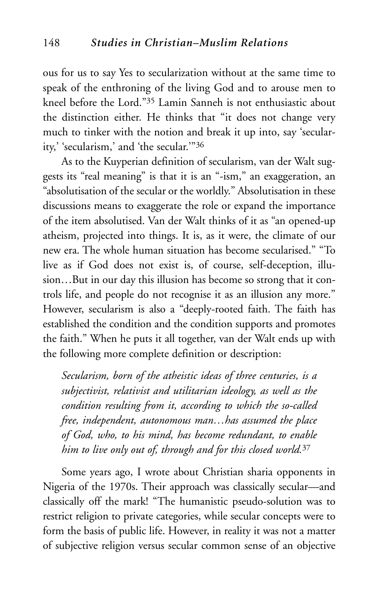ous for us to say Yes to secularization without at the same time to speak of the enthroning of the living God and to arouse men to kneel before the Lord."35 Lamin Sanneh is not enthusiastic about the distinction either. He thinks that "it does not change very much to tinker with the notion and break it up into, say 'secularity,' 'secularism,' and 'the secular.'"36

As to the Kuyperian definition of secularism, van der Walt suggests its "real meaning" is that it is an "-ism," an exaggeration, an "absolutisation of the secular or the worldly." Absolutisation in these discussions means to exaggerate the role or expand the importance of the item absolutised. Van der Walt thinks of it as "an opened-up atheism, projected into things. It is, as it were, the climate of our new era. The whole human situation has become secularised." "To live as if God does not exist is, of course, self-deception, illusion…But in our day this illusion has become so strong that it controls life, and people do not recognise it as an illusion any more." However, secularism is also a "deeply-rooted faith. The faith has established the condition and the condition supports and promotes the faith." When he puts it all together, van der Walt ends up with the following more complete definition or description:

*Secularism, born of the atheistic ideas of three centuries, is a subjectivist, relativist and utilitarian ideology, as well as the condition resulting from it, according to which the so-called free, independent, autonomous man…has assumed the place of God, who, to his mind, has become redundant, to enable him to live only out of, through and for this closed world.*<sup>37</sup>

Some years ago, I wrote about Christian sharia opponents in Nigeria of the 1970s. Their approach was classically secular—and classically off the mark! "The humanistic pseudo-solution was to restrict religion to private categories, while secular concepts were to form the basis of public life. However, in reality it was not a matter of subjective religion versus secular common sense of an objective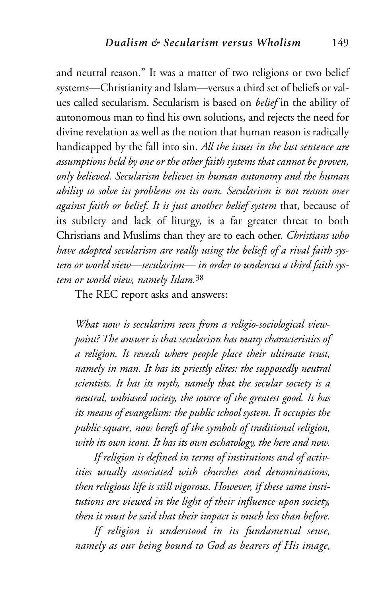and neutral reason." It was a matter of two religions or two belief systems—Christianity and Islam—versus a third set of beliefs or values called secularism. Secularism is based on *belief* in the ability of autonomous man to find his own solutions, and rejects the need for divine revelation as well as the notion that human reason is radically handicapped by the fall into sin. *All the issues in the last sentence are assumptions held by one or the other faith systems that cannot be proven, only believed. Secularism believes in human autonomy and the human ability to solve its problems on its own. Secularism is not reason over against faith or belief. It is just another belief system* that, because of its subtlety and lack of liturgy, is a far greater threat to both Christians and Muslims than they are to each other. *Christians who have adopted secularism are really using the beliefs of a rival faith system or world view—secularism— in order to undercut a third faith system or world view, namely Islam.*<sup>38</sup>

The REC report asks and answers:

*What now is secularism seen from a religio-sociological viewpoint? The answer is that secularism has many characteristics of a religion. It reveals where people place their ultimate trust, namely in man. It has its priestly elites: the supposedly neutral scientists. It has its myth, namely that the secular society is a neutral, unbiased society, the source of the greatest good. It has its means of evangelism: the public school system. It occupies the public square, now bereft of the symbols of traditional religion, with its own icons. It has its own eschatology, the here and now.*

*If religion is defined in terms of institutions and of activities usually associated with churches and denominations, then religious life is still vigorous. However, if these same institutions are viewed in the light of their influence upon society, then it must be said that their impact is much less than before.*

*If religion is understood in its fundamental sense, namely as our being bound to God as bearers of His image,*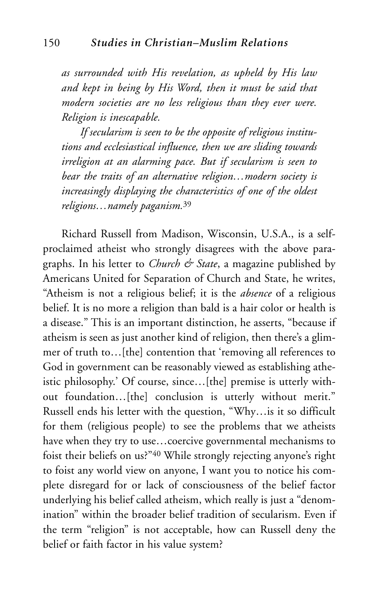*as surrounded with His revelation, as upheld by His law and kept in being by His Word, then it must be said that modern societies are no less religious than they ever were. Religion is inescapable.*

*If secularism is seen to be the opposite of religious institutions and ecclesiastical influence, then we are sliding towards irreligion at an alarming pace. But if secularism is seen to bear the traits of an alternative religion…modern society is increasingly displaying the characteristics of one of the oldest religions…namely paganism.*<sup>39</sup>

Richard Russell from Madison, Wisconsin, U.S.A., is a selfproclaimed atheist who strongly disagrees with the above paragraphs. In his letter to *Church & State*, a magazine published by Americans United for Separation of Church and State, he writes, "Atheism is not a religious belief; it is the *absence* of a religious belief. It is no more a religion than bald is a hair color or health is a disease." This is an important distinction, he asserts, "because if atheism is seen as just another kind of religion, then there's a glimmer of truth to…[the] contention that 'removing all references to God in government can be reasonably viewed as establishing atheistic philosophy.' Of course, since…[the] premise is utterly without foundation…[the] conclusion is utterly without merit." Russell ends his letter with the question, "Why…is it so difficult for them (religious people) to see the problems that we atheists have when they try to use…coercive governmental mechanisms to foist their beliefs on us?"40 While strongly rejecting anyone's right to foist any world view on anyone, I want you to notice his complete disregard for or lack of consciousness of the belief factor underlying his belief called atheism, which really is just a "denomination" within the broader belief tradition of secularism. Even if the term "religion" is not acceptable, how can Russell deny the belief or faith factor in his value system?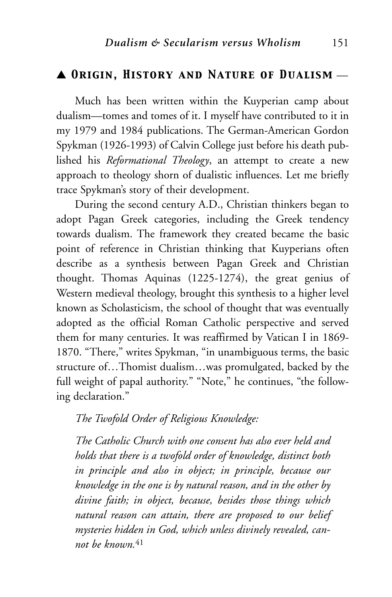#### ▲ *Origin, History and Nature of Dualism* \_\_

Much has been written within the Kuyperian camp about dualism—tomes and tomes of it. I myself have contributed to it in my 1979 and 1984 publications. The German-American Gordon Spykman (1926-1993) of Calvin College just before his death published his *Reformational Theology*, an attempt to create a new approach to theology shorn of dualistic influences. Let me briefly trace Spykman's story of their development.

During the second century A.D., Christian thinkers began to adopt Pagan Greek categories, including the Greek tendency towards dualism. The framework they created became the basic point of reference in Christian thinking that Kuyperians often describe as a synthesis between Pagan Greek and Christian thought. Thomas Aquinas (1225-1274), the great genius of Western medieval theology, brought this synthesis to a higher level known as Scholasticism, the school of thought that was eventually adopted as the official Roman Catholic perspective and served them for many centuries. It was reaffirmed by Vatican I in 1869- 1870. "There," writes Spykman, "in unambiguous terms, the basic structure of…Thomist dualism…was promulgated, backed by the full weight of papal authority." "Note," he continues, "the following declaration."

# *The Twofold Order of Religious Knowledge:*

*The Catholic Church with one consent has also ever held and holds that there is a twofold order of knowledge, distinct both in principle and also in object; in principle, because our knowledge in the one is by natural reason, and in the other by divine faith; in object, because, besides those things which natural reason can attain, there are proposed to our belief mysteries hidden in God, which unless divinely revealed, cannot be known.*<sup>41</sup>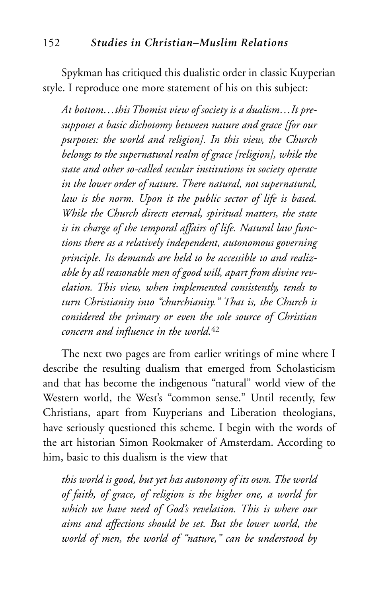Spykman has critiqued this dualistic order in classic Kuyperian style. I reproduce one more statement of his on this subject:

*At bottom…this Thomist view of society is a dualism…It presupposes a basic dichotomy between nature and grace [for our purposes: the world and religion]. In this view, the Church belongs to the supernatural realm of grace [religion], while the state and other so-called secular institutions in society operate in the lower order of nature. There natural, not supernatural, law is the norm. Upon it the public sector of life is based. While the Church directs eternal, spiritual matters, the state is in charge of the temporal affairs of life. Natural law functions there as a relatively independent, autonomous governing principle. Its demands are held to be accessible to and realizable by all reasonable men of good will, apart from divine revelation. This view, when implemented consistently, tends to turn Christianity into "churchianity." That is, the Church is considered the primary or even the sole source of Christian concern and influence in the world.*<sup>42</sup>

The next two pages are from earlier writings of mine where I describe the resulting dualism that emerged from Scholasticism and that has become the indigenous "natural" world view of the Western world, the West's "common sense." Until recently, few Christians, apart from Kuyperians and Liberation theologians, have seriously questioned this scheme. I begin with the words of the art historian Simon Rookmaker of Amsterdam. According to him, basic to this dualism is the view that

*this world is good, but yet has autonomy of its own. The world of faith, of grace, of religion is the higher one, a world for which we have need of God's revelation. This is where our aims and affections should be set. But the lower world, the world of men, the world of "nature," can be understood by*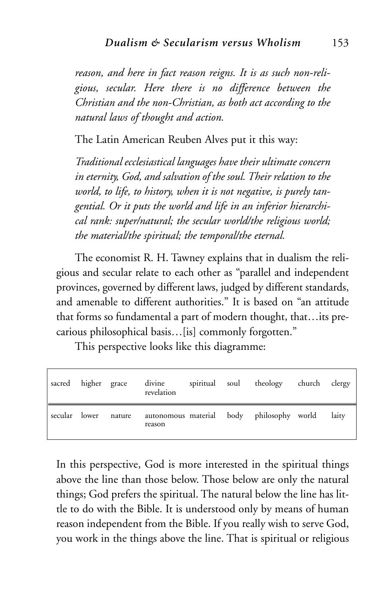*reason, and here in fact reason reigns. It is as such non-religious, secular. Here there is no difference between the Christian and the non-Christian, as both act according to the natural laws of thought and action.*

The Latin American Reuben Alves put it this way:

*Traditional ecclesiastical languages have their ultimate concern in eternity, God, and salvation of the soul. Their relation to the world, to life, to history, when it is not negative, is purely tangential. Or it puts the world and life in an inferior hierarchical rank: super/natural; the secular world/the religious world; the material/the spiritual; the temporal/the eternal.*

The economist R. H. Tawney explains that in dualism the religious and secular relate to each other as "parallel and independent provinces, governed by different laws, judged by different standards, and amenable to different authorities." It is based on "an attitude that forms so fundamental a part of modern thought, that…its precarious philosophical basis…[is] commonly forgotten."

This perspective looks like this diagramme:

|               | sacred higher grace |        | divine<br>revelation                                |  | spiritual soul theology church clergy |       |
|---------------|---------------------|--------|-----------------------------------------------------|--|---------------------------------------|-------|
| secular lower |                     | nature | autonomous material body philosophy world<br>reason |  |                                       | laity |

In this perspective, God is more interested in the spiritual things above the line than those below. Those below are only the natural things; God prefers the spiritual. The natural below the line has little to do with the Bible. It is understood only by means of human reason independent from the Bible. If you really wish to serve God, you work in the things above the line. That is spiritual or religious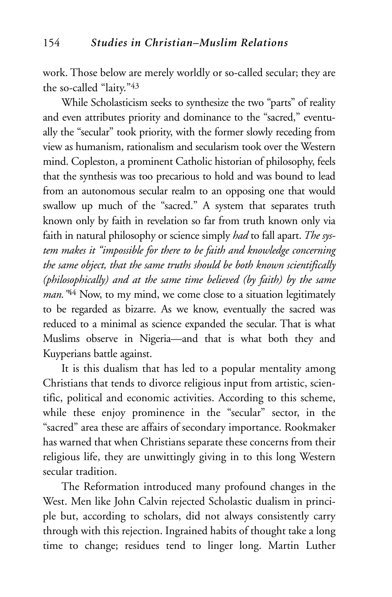work. Those below are merely worldly or so-called secular; they are the so-called "laity."43

While Scholasticism seeks to synthesize the two "parts" of reality and even attributes priority and dominance to the "sacred," eventually the "secular" took priority, with the former slowly receding from view as humanism, rationalism and secularism took over the Western mind. Copleston, a prominent Catholic historian of philosophy, feels that the synthesis was too precarious to hold and was bound to lead from an autonomous secular realm to an opposing one that would swallow up much of the "sacred." A system that separates truth known only by faith in revelation so far from truth known only via faith in natural philosophy or science simply *had* to fall apart. *The system makes it "impossible for there to be faith and knowledge concerning the same object, that the same truths should be both known scientifically (philosophically) and at the same time believed (by faith) by the same man.*<sup>244</sup> Now, to my mind, we come close to a situation legitimately to be regarded as bizarre. As we know, eventually the sacred was reduced to a minimal as science expanded the secular. That is what Muslims observe in Nigeria—and that is what both they and Kuyperians battle against.

It is this dualism that has led to a popular mentality among Christians that tends to divorce religious input from artistic, scientific, political and economic activities. According to this scheme, while these enjoy prominence in the "secular" sector, in the "sacred" area these are affairs of secondary importance. Rookmaker has warned that when Christians separate these concerns from their religious life, they are unwittingly giving in to this long Western secular tradition.

The Reformation introduced many profound changes in the West. Men like John Calvin rejected Scholastic dualism in principle but, according to scholars, did not always consistently carry through with this rejection. Ingrained habits of thought take a long time to change; residues tend to linger long. Martin Luther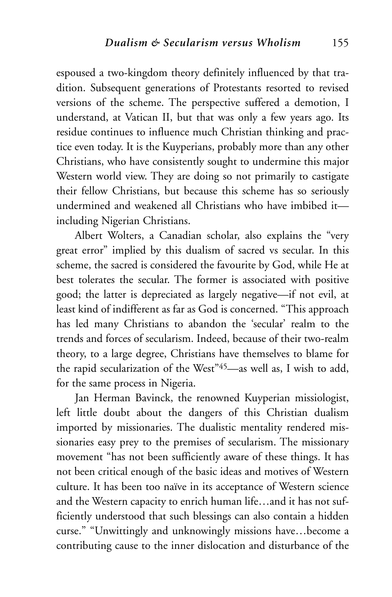espoused a two-kingdom theory definitely influenced by that tradition. Subsequent generations of Protestants resorted to revised versions of the scheme. The perspective suffered a demotion, I understand, at Vatican II, but that was only a few years ago. Its residue continues to influence much Christian thinking and practice even today. It is the Kuyperians, probably more than any other Christians, who have consistently sought to undermine this major Western world view. They are doing so not primarily to castigate their fellow Christians, but because this scheme has so seriously undermined and weakened all Christians who have imbibed it including Nigerian Christians.

Albert Wolters, a Canadian scholar, also explains the "very great error" implied by this dualism of sacred vs secular. In this scheme, the sacred is considered the favourite by God, while He at best tolerates the secular. The former is associated with positive good; the latter is depreciated as largely negative—if not evil, at least kind of indifferent as far as God is concerned. "This approach has led many Christians to abandon the 'secular' realm to the trends and forces of secularism. Indeed, because of their two-realm theory, to a large degree, Christians have themselves to blame for the rapid secularization of the West"45—as well as, I wish to add, for the same process in Nigeria.

Jan Herman Bavinck, the renowned Kuyperian missiologist, left little doubt about the dangers of this Christian dualism imported by missionaries. The dualistic mentality rendered missionaries easy prey to the premises of secularism. The missionary movement "has not been sufficiently aware of these things. It has not been critical enough of the basic ideas and motives of Western culture. It has been too naïve in its acceptance of Western science and the Western capacity to enrich human life…and it has not sufficiently understood that such blessings can also contain a hidden curse." "Unwittingly and unknowingly missions have…become a contributing cause to the inner dislocation and disturbance of the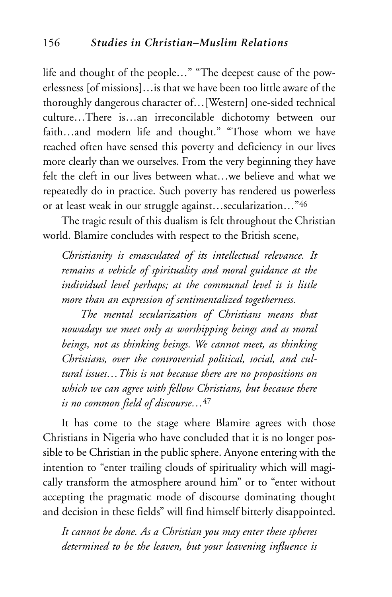life and thought of the people…" "The deepest cause of the powerlessness [of missions]…is that we have been too little aware of the thoroughly dangerous character of…[Western] one-sided technical culture…There is…an irreconcilable dichotomy between our faith…and modern life and thought." "Those whom we have reached often have sensed this poverty and deficiency in our lives more clearly than we ourselves. From the very beginning they have felt the cleft in our lives between what…we believe and what we repeatedly do in practice. Such poverty has rendered us powerless or at least weak in our struggle against…secularization…"46

The tragic result of this dualism is felt throughout the Christian world. Blamire concludes with respect to the British scene,

*Christianity is emasculated of its intellectual relevance. It remains a vehicle of spirituality and moral guidance at the individual level perhaps; at the communal level it is little more than an expression of sentimentalized togetherness.*

*The mental secularization of Christians means that nowadays we meet only as worshipping beings and as moral beings, not as thinking beings. We cannot meet, as thinking Christians, over the controversial political, social, and cultural issues…This is not because there are no propositions on which we can agree with fellow Christians, but because there is no common field of discourse…*<sup>47</sup>

It has come to the stage where Blamire agrees with those Christians in Nigeria who have concluded that it is no longer possible to be Christian in the public sphere. Anyone entering with the intention to "enter trailing clouds of spirituality which will magically transform the atmosphere around him" or to "enter without accepting the pragmatic mode of discourse dominating thought and decision in these fields" will find himself bitterly disappointed.

*It cannot be done. As a Christian you may enter these spheres determined to be the leaven, but your leavening influence is*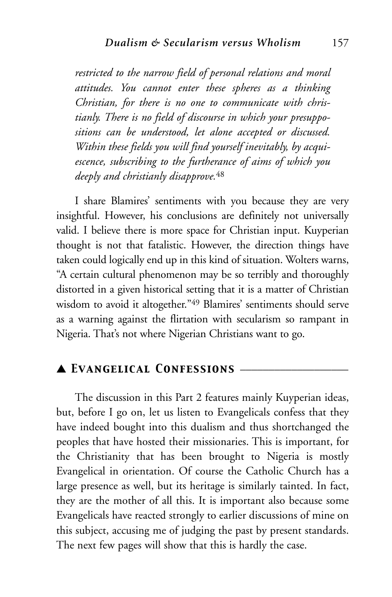*restricted to the narrow field of personal relations and moral attitudes. You cannot enter these spheres as a thinking Christian, for there is no one to communicate with christianly. There is no field of discourse in which your presuppositions can be understood, let alone accepted or discussed. Within these fields you will find yourself inevitably, by acquiescence, subscribing to the furtherance of aims of which you deeply and christianly disapprove.*<sup>48</sup>

I share Blamires' sentiments with you because they are very insightful. However, his conclusions are definitely not universally valid. I believe there is more space for Christian input. Kuyperian thought is not that fatalistic. However, the direction things have taken could logically end up in this kind of situation. Wolters warns, "A certain cultural phenomenon may be so terribly and thoroughly distorted in a given historical setting that it is a matter of Christian wisdom to avoid it altogether."49 Blamires' sentiments should serve as a warning against the flirtation with secularism so rampant in Nigeria. That's not where Nigerian Christians want to go.

# ▲ *Evangelical Confessions* \_\_\_\_\_\_\_\_\_\_\_\_\_\_\_\_\_\_\_

The discussion in this Part 2 features mainly Kuyperian ideas, but, before I go on, let us listen to Evangelicals confess that they have indeed bought into this dualism and thus shortchanged the peoples that have hosted their missionaries. This is important, for the Christianity that has been brought to Nigeria is mostly Evangelical in orientation. Of course the Catholic Church has a large presence as well, but its heritage is similarly tainted. In fact, they are the mother of all this. It is important also because some Evangelicals have reacted strongly to earlier discussions of mine on this subject, accusing me of judging the past by present standards. The next few pages will show that this is hardly the case.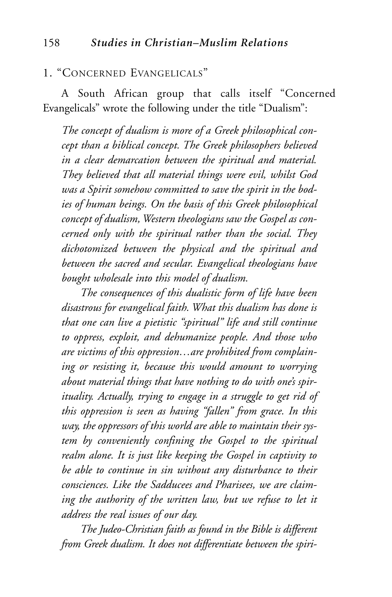#### 1. "CONCERNED EVANGELICALS"

A South African group that calls itself "Concerned Evangelicals" wrote the following under the title "Dualism":

*The concept of dualism is more of a Greek philosophical concept than a biblical concept. The Greek philosophers believed in a clear demarcation between the spiritual and material. They believed that all material things were evil, whilst God was a Spirit somehow committed to save the spirit in the bodies of human beings. On the basis of this Greek philosophical concept of dualism, Western theologians saw the Gospel as concerned only with the spiritual rather than the social. They dichotomized between the physical and the spiritual and between the sacred and secular. Evangelical theologians have bought wholesale into this model of dualism.*

*The consequences of this dualistic form of life have been disastrous for evangelical faith. What this dualism has done is that one can live a pietistic "spiritual" life and still continue to oppress, exploit, and dehumanize people. And those who are victims of this oppression…are prohibited from complaining or resisting it, because this would amount to worrying about material things that have nothing to do with one's spirituality. Actually, trying to engage in a struggle to get rid of this oppression is seen as having "fallen" from grace. In this way, the oppressors of this world are able to maintain their system by conveniently confining the Gospel to the spiritual realm alone. It is just like keeping the Gospel in captivity to be able to continue in sin without any disturbance to their consciences. Like the Sadducees and Pharisees, we are claiming the authority of the written law, but we refuse to let it address the real issues of our day.*

*The Judeo-Christian faith as found in the Bible is different from Greek dualism. It does not differentiate between the spiri-*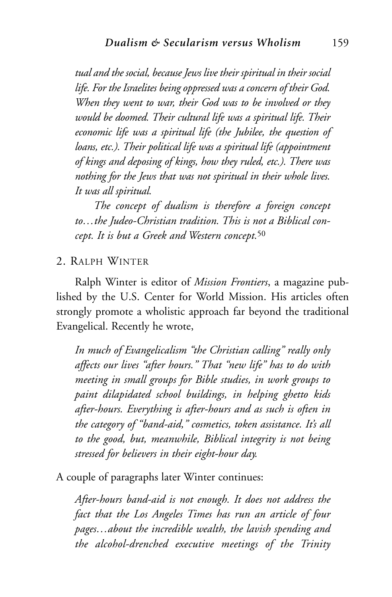*tual and the social, because Jews live their spiritual in their social life. For the Israelites being oppressed was a concern of their God. When they went to war, their God was to be involved or they would be doomed. Their cultural life was a spiritual life. Their economic life was a spiritual life (the Jubilee, the question of loans, etc.). Their political life was a spiritual life (appointment of kings and deposing of kings, how they ruled, etc.). There was nothing for the Jews that was not spiritual in their whole lives. It was all spiritual.* 

*The concept of dualism is therefore a foreign concept to…the Judeo-Christian tradition. This is not a Biblical concept. It is but a Greek and Western concept.*<sup>50</sup>

#### 2. RALPH WINTER

Ralph Winter is editor of *Mission Frontiers*, a magazine published by the U.S. Center for World Mission. His articles often strongly promote a wholistic approach far beyond the traditional Evangelical. Recently he wrote,

*In much of Evangelicalism "the Christian calling" really only affects our lives "after hours." That "new life" has to do with meeting in small groups for Bible studies, in work groups to paint dilapidated school buildings, in helping ghetto kids after-hours. Everything is after-hours and as such is often in the category of "band-aid," cosmetics, token assistance. It's all to the good, but, meanwhile, Biblical integrity is not being stressed for believers in their eight-hour day.*

A couple of paragraphs later Winter continues:

*After-hours band-aid is not enough. It does not address the fact that the Los Angeles Times has run an article of four pages…about the incredible wealth, the lavish spending and the alcohol-drenched executive meetings of the Trinity*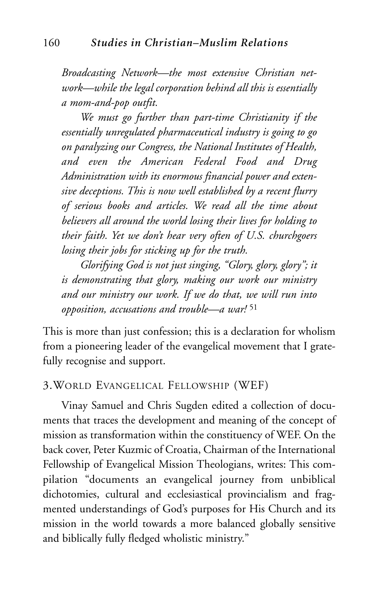*Broadcasting Network—the most extensive Christian network—while the legal corporation behind all this is essentially a mom-and-pop outfit.*

*We must go further than part-time Christianity if the essentially unregulated pharmaceutical industry is going to go on paralyzing our Congress, the National Institutes of Health, and even the American Federal Food and Drug Administration with its enormous financial power and extensive deceptions. This is now well established by a recent flurry of serious books and articles. We read all the time about believers all around the world losing their lives for holding to their faith. Yet we don't hear very often of U.S. churchgoers losing their jobs for sticking up for the truth.*

*Glorifying God is not just singing, "Glory, glory, glory"; it is demonstrating that glory, making our work our ministry and our ministry our work. If we do that, we will run into opposition, accusations and trouble—a war!* <sup>51</sup>

This is more than just confession; this is a declaration for wholism from a pioneering leader of the evangelical movement that I gratefully recognise and support.

# 3.WORLD EVANGELICAL FELLOWSHIP (WEF)

Vinay Samuel and Chris Sugden edited a collection of documents that traces the development and meaning of the concept of mission as transformation within the constituency of WEF. On the back cover, Peter Kuzmic of Croatia, Chairman of the International Fellowship of Evangelical Mission Theologians, writes: This compilation "documents an evangelical journey from unbiblical dichotomies, cultural and ecclesiastical provincialism and fragmented understandings of God's purposes for His Church and its mission in the world towards a more balanced globally sensitive and biblically fully fledged wholistic ministry."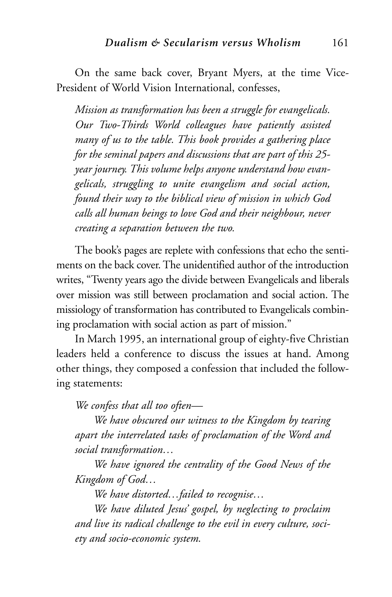On the same back cover, Bryant Myers, at the time Vice-President of World Vision International, confesses,

*Mission as transformation has been a struggle for evangelicals. Our Two-Thirds World colleagues have patiently assisted many of us to the table. This book provides a gathering place for the seminal papers and discussions that are part of this 25 year journey. This volume helps anyone understand how evangelicals, struggling to unite evangelism and social action, found their way to the biblical view of mission in which God calls all human beings to love God and their neighbour, never creating a separation between the two.*

The book's pages are replete with confessions that echo the sentiments on the back cover. The unidentified author of the introduction writes, "Twenty years ago the divide between Evangelicals and liberals over mission was still between proclamation and social action. The missiology of transformation has contributed to Evangelicals combining proclamation with social action as part of mission."

In March 1995, an international group of eighty-five Christian leaders held a conference to discuss the issues at hand. Among other things, they composed a confession that included the following statements:

*We confess that all too often—*

*We have obscured our witness to the Kingdom by tearing apart the interrelated tasks of proclamation of the Word and social transformation…*

*We have ignored the centrality of the Good News of the Kingdom of God…*

*We have distorted…failed to recognise…*

*We have diluted Jesus' gospel, by neglecting to proclaim and live its radical challenge to the evil in every culture, society and socio-economic system.*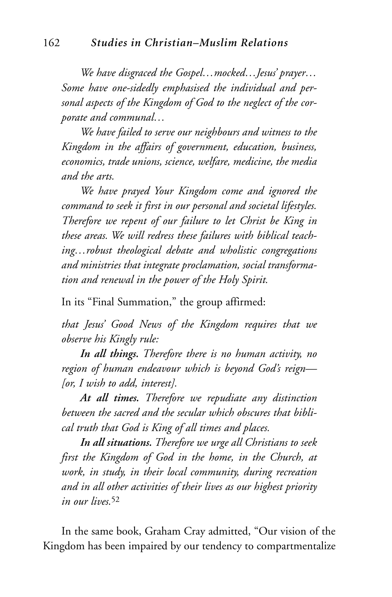*We have disgraced the Gospel…mocked…Jesus' prayer… Some have one-sidedly emphasised the individual and personal aspects of the Kingdom of God to the neglect of the corporate and communal…*

*We have failed to serve our neighbours and witness to the Kingdom in the affairs of government, education, business, economics, trade unions, science, welfare, medicine, the media and the arts.*

*We have prayed Your Kingdom come and ignored the command to seek it first in our personal and societal lifestyles. Therefore we repent of our failure to let Christ be King in these areas. We will redress these failures with biblical teaching…robust theological debate and wholistic congregations and ministries that integrate proclamation, social transformation and renewal in the power of the Holy Spirit.*

In its "Final Summation," the group affirmed:

*that Jesus' Good News of the Kingdom requires that we observe his Kingly rule:*

*In all things. Therefore there is no human activity, no region of human endeavour which is beyond God's reign— [or, I wish to add, interest].*

*At all times. Therefore we repudiate any distinction between the sacred and the secular which obscures that biblical truth that God is King of all times and places.*

*In all situations. Therefore we urge all Christians to seek first the Kingdom of God in the home, in the Church, at work, in study, in their local community, during recreation and in all other activities of their lives as our highest priority in our lives.*<sup>52</sup>

In the same book, Graham Cray admitted, "Our vision of the Kingdom has been impaired by our tendency to compartmentalize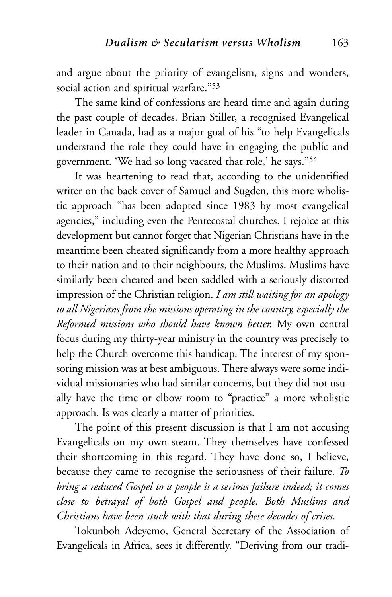and argue about the priority of evangelism, signs and wonders, social action and spiritual warfare."53

The same kind of confessions are heard time and again during the past couple of decades. Brian Stiller, a recognised Evangelical leader in Canada, had as a major goal of his "to help Evangelicals understand the role they could have in engaging the public and government. 'We had so long vacated that role,' he says."54

It was heartening to read that, according to the unidentified writer on the back cover of Samuel and Sugden, this more wholistic approach "has been adopted since 1983 by most evangelical agencies," including even the Pentecostal churches. I rejoice at this development but cannot forget that Nigerian Christians have in the meantime been cheated significantly from a more healthy approach to their nation and to their neighbours, the Muslims. Muslims have similarly been cheated and been saddled with a seriously distorted impression of the Christian religion. *I am still waiting for an apology to all Nigerians from the missions operating in the country, especially the Reformed missions who should have known better.* My own central focus during my thirty-year ministry in the country was precisely to help the Church overcome this handicap. The interest of my sponsoring mission was at best ambiguous. There always were some individual missionaries who had similar concerns, but they did not usually have the time or elbow room to "practice" a more wholistic approach. Is was clearly a matter of priorities.

The point of this present discussion is that I am not accusing Evangelicals on my own steam. They themselves have confessed their shortcoming in this regard. They have done so, I believe, because they came to recognise the seriousness of their failure. *To bring a reduced Gospel to a people is a serious failure indeed; it comes close to betrayal of both Gospel and people. Both Muslims and Christians have been stuck with that during these decades of crises*.

Tokunboh Adeyemo, General Secretary of the Association of Evangelicals in Africa, sees it differently. "Deriving from our tradi-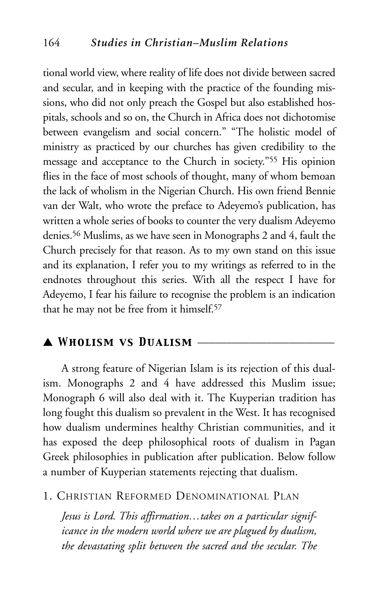tional world view, where reality of life does not divide between sacred and secular, and in keeping with the practice of the founding missions, who did not only preach the Gospel but also established hospitals, schools and so on, the Church in Africa does not dichotomise between evangelism and social concern." "The holistic model of ministry as practiced by our churches has given credibility to the message and acceptance to the Church in society."55 His opinion flies in the face of most schools of thought, many of whom bemoan the lack of wholism in the Nigerian Church. His own friend Bennie van der Walt, who wrote the preface to Adeyemo's publication, has written a whole series of books to counter the very dualism Adeyemo denies.56 Muslims, as we have seen in Monographs 2 and 4, fault the Church precisely for that reason. As to my own stand on this issue and its explanation, I refer you to my writings as referred to in the endnotes throughout this series. With all the respect I have for Adeyemo, I fear his failure to recognise the problem is an indication that he may not be free from it himself.57

# ▲ *Wholism vs Dualism* \_\_\_\_\_\_\_\_\_\_\_\_\_\_\_\_\_\_\_\_\_\_\_\_

A strong feature of Nigerian Islam is its rejection of this dualism. Monographs 2 and 4 have addressed this Muslim issue; Monograph 6 will also deal with it. The Kuyperian tradition has long fought this dualism so prevalent in the West. It has recognised how dualism undermines healthy Christian communities, and it has exposed the deep philosophical roots of dualism in Pagan Greek philosophies in publication after publication. Below follow a number of Kuyperian statements rejecting that dualism.

# 1. CHRISTIAN REFORMED DENOMINATIONAL PLAN

*Jesus is Lord. This affirmation…takes on a particular significance in the modern world where we are plagued by dualism, the devastating split between the sacred and the secular. The*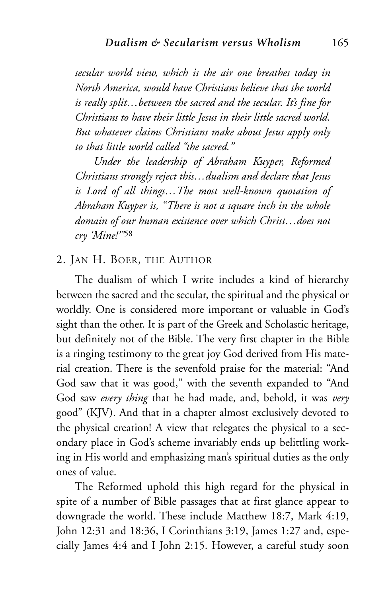*secular world view, which is the air one breathes today in North America, would have Christians believe that the world is really split…between the sacred and the secular. It's fine for Christians to have their little Jesus in their little sacred world. But whatever claims Christians make about Jesus apply only to that little world called "the sacred."*

*Under the leadership of Abraham Kuyper, Reformed Christians strongly reject this…dualism and declare that Jesus is Lord of all things…The most well-known quotation of Abraham Kuyper is, "There is not a square inch in the whole domain of our human existence over which Christ…does not cry 'Mine!'"*<sup>58</sup>

## 2. JAN H. BOER, THE AUTHOR

The dualism of which I write includes a kind of hierarchy between the sacred and the secular, the spiritual and the physical or worldly. One is considered more important or valuable in God's sight than the other. It is part of the Greek and Scholastic heritage, but definitely not of the Bible. The very first chapter in the Bible is a ringing testimony to the great joy God derived from His material creation. There is the sevenfold praise for the material: "And God saw that it was good," with the seventh expanded to "And God saw *every thing* that he had made, and, behold, it was *very* good" (KJV). And that in a chapter almost exclusively devoted to the physical creation! A view that relegates the physical to a secondary place in God's scheme invariably ends up belittling working in His world and emphasizing man's spiritual duties as the only ones of value.

The Reformed uphold this high regard for the physical in spite of a number of Bible passages that at first glance appear to downgrade the world. These include Matthew 18:7, Mark 4:19, John 12:31 and 18:36, I Corinthians 3:19, James 1:27 and, especially James 4:4 and I John 2:15. However, a careful study soon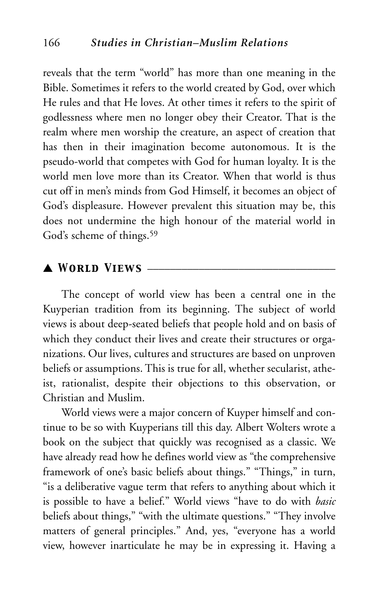reveals that the term "world" has more than one meaning in the Bible. Sometimes it refers to the world created by God, over which He rules and that He loves. At other times it refers to the spirit of godlessness where men no longer obey their Creator. That is the realm where men worship the creature, an aspect of creation that has then in their imagination become autonomous. It is the pseudo-world that competes with God for human loyalty. It is the world men love more than its Creator. When that world is thus cut off in men's minds from God Himself, it becomes an object of God's displeasure. However prevalent this situation may be, this does not undermine the high honour of the material world in God's scheme of things.59

### ▲ *World Views* \_\_\_\_\_\_\_\_\_\_\_\_\_\_\_\_\_\_\_\_\_\_\_\_\_\_\_\_\_\_\_\_\_

The concept of world view has been a central one in the Kuyperian tradition from its beginning. The subject of world views is about deep-seated beliefs that people hold and on basis of which they conduct their lives and create their structures or organizations. Our lives, cultures and structures are based on unproven beliefs or assumptions. This is true for all, whether secularist, atheist, rationalist, despite their objections to this observation, or Christian and Muslim.

World views were a major concern of Kuyper himself and continue to be so with Kuyperians till this day. Albert Wolters wrote a book on the subject that quickly was recognised as a classic. We have already read how he defines world view as "the comprehensive framework of one's basic beliefs about things." "Things," in turn, "is a deliberative vague term that refers to anything about which it is possible to have a belief." World views "have to do with *basic* beliefs about things," "with the ultimate questions." "They involve matters of general principles." And, yes, "everyone has a world view, however inarticulate he may be in expressing it. Having a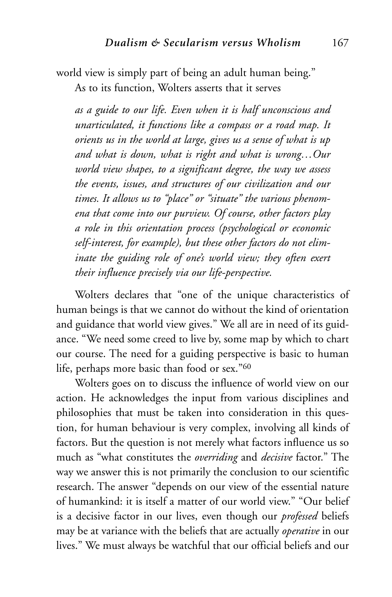world view is simply part of being an adult human being." As to its function, Wolters asserts that it serves

*as a guide to our life. Even when it is half unconscious and unarticulated, it functions like a compass or a road map. It orients us in the world at large, gives us a sense of what is up and what is down, what is right and what is wrong…Our world view shapes, to a significant degree, the way we assess the events, issues, and structures of our civilization and our times. It allows us to "place" or "situate" the various phenomena that come into our purview. Of course, other factors play a role in this orientation process (psychological or economic self-interest, for example), but these other factors do not eliminate the guiding role of one's world view; they often exert their influence precisely via our life-perspective.*

Wolters declares that "one of the unique characteristics of human beings is that we cannot do without the kind of orientation and guidance that world view gives." We all are in need of its guidance. "We need some creed to live by, some map by which to chart our course. The need for a guiding perspective is basic to human life, perhaps more basic than food or sex."60

Wolters goes on to discuss the influence of world view on our action. He acknowledges the input from various disciplines and philosophies that must be taken into consideration in this question, for human behaviour is very complex, involving all kinds of factors. But the question is not merely what factors influence us so much as "what constitutes the *overriding* and *decisive* factor." The way we answer this is not primarily the conclusion to our scientific research. The answer "depends on our view of the essential nature of humankind: it is itself a matter of our world view." "Our belief is a decisive factor in our lives, even though our *professed* beliefs may be at variance with the beliefs that are actually *operative* in our lives." We must always be watchful that our official beliefs and our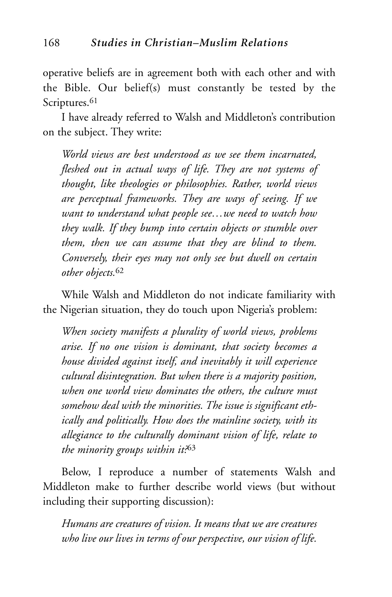operative beliefs are in agreement both with each other and with the Bible. Our belief(s) must constantly be tested by the Scriptures.<sup>61</sup>

I have already referred to Walsh and Middleton's contribution on the subject. They write:

*World views are best understood as we see them incarnated, fleshed out in actual ways of life. They are not systems of thought, like theologies or philosophies. Rather, world views are perceptual frameworks. They are ways of seeing. If we want to understand what people see…we need to watch how they walk. If they bump into certain objects or stumble over them, then we can assume that they are blind to them. Conversely, their eyes may not only see but dwell on certain other objects.*<sup>62</sup>

While Walsh and Middleton do not indicate familiarity with the Nigerian situation, they do touch upon Nigeria's problem:

*When society manifests a plurality of world views, problems arise. If no one vision is dominant, that society becomes a house divided against itself, and inevitably it will experience cultural disintegration. But when there is a majority position, when one world view dominates the others, the culture must somehow deal with the minorities. The issue is significant ethically and politically. How does the mainline society, with its allegiance to the culturally dominant vision of life, relate to the minority groups within it?*<sup>63</sup>

Below, I reproduce a number of statements Walsh and Middleton make to further describe world views (but without including their supporting discussion):

*Humans are creatures of vision. It means that we are creatures who live our lives in terms of our perspective, our vision of life.*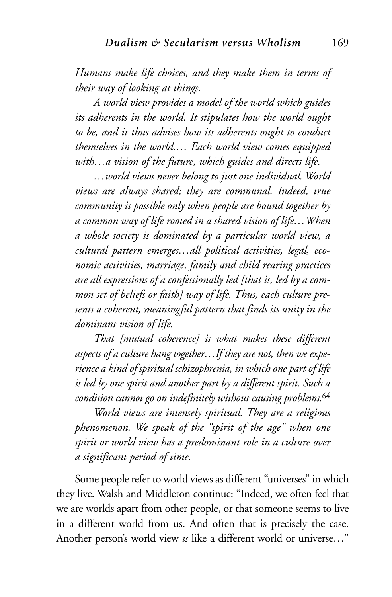*Humans make life choices, and they make them in terms of their way of looking at things.*

*A world view provides a model of the world which guides its adherents in the world. It stipulates how the world ought to be, and it thus advises how its adherents ought to conduct themselves in the world.… Each world view comes equipped with…a vision of the future, which guides and directs life.*

*…world views never belong to just one individual. World views are always shared; they are communal. Indeed, true community is possible only when people are bound together by a common way of life rooted in a shared vision of life…When a whole society is dominated by a particular world view, a cultural pattern emerges…all political activities, legal, economic activities, marriage, family and child rearing practices are all expressions of a confessionally led [that is, led by a common set of beliefs or faith] way of life. Thus, each culture presents a coherent, meaningful pattern that finds its unity in the dominant vision of life.*

*That [mutual coherence] is what makes these different aspects of a culture hang together…If they are not, then we experience a kind of spiritual schizophrenia, in which one part of life is led by one spirit and another part by a different spirit. Such a condition cannot go on indefinitely without causing problems.*<sup>64</sup>

*World views are intensely spiritual. They are a religious phenomenon. We speak of the "spirit of the age" when one spirit or world view has a predominant role in a culture over a significant period of time.*

Some people refer to world views as different "universes" in which they live. Walsh and Middleton continue: "Indeed, we often feel that we are worlds apart from other people, or that someone seems to live in a different world from us. And often that is precisely the case. Another person's world view *is* like a different world or universe…"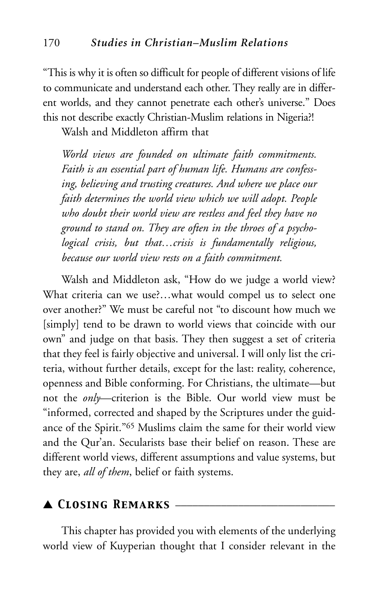"This is why it is often so difficult for people of different visions of life to communicate and understand each other. They really are in different worlds, and they cannot penetrate each other's universe." Does this not describe exactly Christian-Muslim relations in Nigeria?!

Walsh and Middleton affirm that

*World views are founded on ultimate faith commitments. Faith is an essential part of human life. Humans are confessing, believing and trusting creatures. And where we place our faith determines the world view which we will adopt. People who doubt their world view are restless and feel they have no ground to stand on. They are often in the throes of a psychological crisis, but that…crisis is fundamentally religious, because our world view rests on a faith commitment.*

Walsh and Middleton ask, "How do we judge a world view? What criteria can we use?…what would compel us to select one over another?" We must be careful not "to discount how much we [simply] tend to be drawn to world views that coincide with our own" and judge on that basis. They then suggest a set of criteria that they feel is fairly objective and universal. I will only list the criteria, without further details, except for the last: reality, coherence, openness and Bible conforming. For Christians, the ultimate—but not the *only*—criterion is the Bible. Our world view must be "informed, corrected and shaped by the Scriptures under the guidance of the Spirit."65 Muslims claim the same for their world view and the Qur'an. Secularists base their belief on reason. These are different world views, different assumptions and value systems, but they are, *all of them*, belief or faith systems.

## ▲ *Closing Remarks* \_\_\_\_\_\_\_\_\_\_\_\_\_\_\_\_\_\_\_\_\_\_\_\_\_\_\_\_

This chapter has provided you with elements of the underlying world view of Kuyperian thought that I consider relevant in the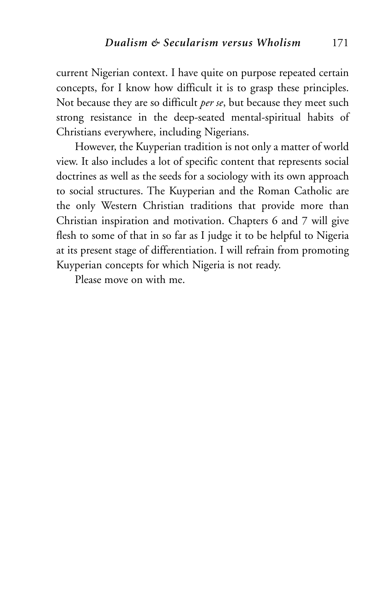current Nigerian context. I have quite on purpose repeated certain concepts, for I know how difficult it is to grasp these principles. Not because they are so difficult *per se*, but because they meet such strong resistance in the deep-seated mental-spiritual habits of Christians everywhere, including Nigerians.

However, the Kuyperian tradition is not only a matter of world view. It also includes a lot of specific content that represents social doctrines as well as the seeds for a sociology with its own approach to social structures. The Kuyperian and the Roman Catholic are the only Western Christian traditions that provide more than Christian inspiration and motivation. Chapters 6 and 7 will give flesh to some of that in so far as I judge it to be helpful to Nigeria at its present stage of differentiation. I will refrain from promoting Kuyperian concepts for which Nigeria is not ready.

Please move on with me.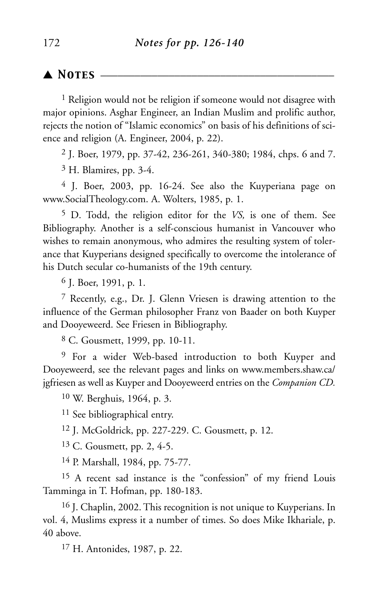# ▲ *Notes* \_\_\_\_\_\_\_\_\_\_\_\_\_\_\_\_\_\_\_\_\_\_\_\_\_\_\_\_\_\_\_\_\_\_\_\_\_\_\_\_\_

<sup>1</sup> Religion would not be religion if someone would not disagree with major opinions. Asghar Engineer, an Indian Muslim and prolific author, rejects the notion of "Islamic economics" on basis of his definitions of science and religion (A. Engineer, 2004, p. 22).

2 J. Boer, 1979, pp. 37-42, 236-261, 340-380; 1984, chps. 6 and 7.

3 H. Blamires, pp. 3-4.

4 J. Boer, 2003, pp. 16-24. See also the Kuyperiana page on www.SocialTheology.com. A. Wolters, 1985, p. 1.

5 D. Todd, the religion editor for the *VS,* is one of them. See Bibliography. Another is a self-conscious humanist in Vancouver who wishes to remain anonymous, who admires the resulting system of tolerance that Kuyperians designed specifically to overcome the intolerance of his Dutch secular co-humanists of the 19th century.

6 J. Boer, 1991, p. 1.

7 Recently, e.g., Dr. J. Glenn Vriesen is drawing attention to the influence of the German philosopher Franz von Baader on both Kuyper and Dooyeweerd. See Friesen in Bibliography.

8 C. Gousmett, 1999, pp. 10-11.

9 For a wider Web-based introduction to both Kuyper and Dooyeweerd, see the relevant pages and links on www.members.shaw.ca/ jgfriesen as well as Kuyper and Dooyeweerd entries on the *Companion CD.*

10 W. Berghuis, 1964, p. 3.

<sup>11</sup> See bibliographical entry.

12 J. McGoldrick, pp. 227-229. C. Gousmett, p. 12.

13 C. Gousmett, pp. 2, 4-5.

14 P. Marshall, 1984, pp. 75-77.

15 A recent sad instance is the "confession" of my friend Louis Tamminga in T. Hofman, pp. 180-183.

<sup>16</sup> J. Chaplin, 2002. This recognition is not unique to Kuyperians. In vol. 4, Muslims express it a number of times. So does Mike Ikhariale, p. 40 above.

17 H. Antonides, 1987, p. 22.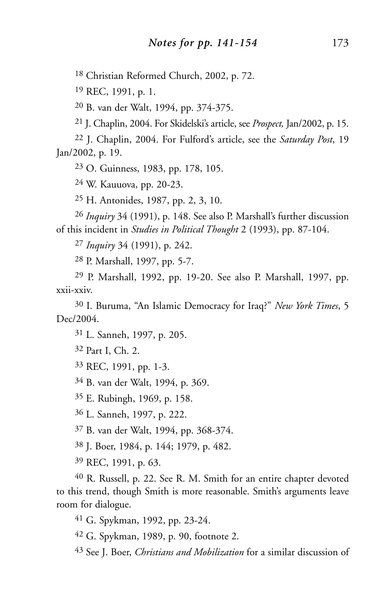Christian Reformed Church, 2002, p. 72.

REC, 1991, p. 1.

B. van der Walt, 1994, pp. 374-375.

J. Chaplin, 2004. For Skidelski's article, see *Prospect,* Jan/2002, p. 15.

 J. Chaplin, 2004. For Fulford's article, see the *Saturday Post*, 19 Jan/2002, p. 19.

O. Guinness, 1983, pp. 178, 105.

W. Kauuova, pp. 20-23.

H. Antonides, 1987, pp. 2, 3, 10.

 *Inquiry* 34 (1991), p. 148. See also P. Marshall's further discussion of this incident in *Studies in Political Thought* 2 (1993), pp. 87-104.

*Inquiry* 34 (1991), p. 242.

P. Marshall, 1997, pp. 5-7.

 P. Marshall, 1992, pp. 19-20. See also P. Marshall, 1997, pp. xxii-xxiv.

 I. Buruma, "An Islamic Democracy for Iraq?" *New York Times*, 5 Dec/2004.

L. Sanneh, 1997, p. 205.

Part I, Ch. 2.

REC, 1991, pp. 1-3.

B. van der Walt, 1994, p. 369.

E. Rubingh, 1969, p. 158.

L. Sanneh, 1997, p. 222.

B. van der Walt, 1994, pp. 368-374.

J. Boer, 1984, p. 144; 1979, p. 482.

REC, 1991, p. 63.

 R. Russell, p. 22. See R. M. Smith for an entire chapter devoted to this trend, though Smith is more reasonable. Smith's arguments leave room for dialogue.

G. Spykman, 1992, pp. 23-24.

G. Spykman, 1989, p. 90, footnote 2.

See J. Boer, *Christians and Mobilization* for a similar discussion of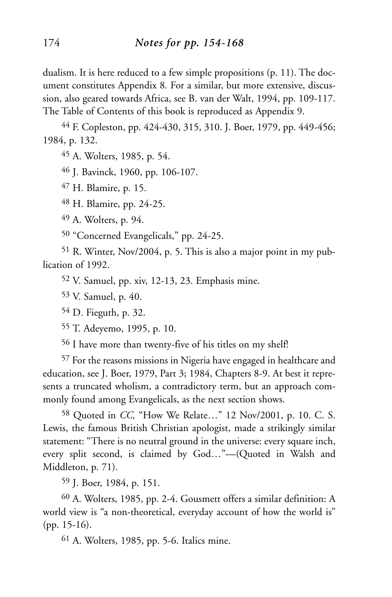dualism. It is here reduced to a few simple propositions (p. 11). The document constitutes Appendix 8*.* For a similar, but more extensive, discussion, also geared towards Africa, see B. van der Walt, 1994, pp. 109-117. The Table of Contents of this book is reproduced as Appendix 9.

44 F. Copleston, pp. 424-430, 315, 310. J. Boer, 1979, pp. 449-456; 1984, p. 132.

45 A. Wolters, 1985, p. 54.

46 J. Bavinck, 1960, pp. 106-107.

47 H. Blamire, p. 15.

48 H. Blamire, pp. 24-25.

49 A. Wolters, p. 94.

50 "Concerned Evangelicals," pp. 24-25.

51 R. Winter, Nov/2004, p. 5. This is also a major point in my publication of 1992.

52 V. Samuel, pp. xiv, 12-13, 23. Emphasis mine.

53 V. Samuel, p. 40.

54 D. Fieguth, p. 32.

55 T. Adeyemo, 1995, p. 10.

56 I have more than twenty-five of his titles on my shelf!

57 For the reasons missions in Nigeria have engaged in healthcare and education, see J. Boer, 1979, Part 3; 1984, Chapters 8-9. At best it represents a truncated wholism, a contradictory term, but an approach commonly found among Evangelicals, as the next section shows.

58 Quoted in *CC,* "How We Relate…" 12 Nov/2001, p. 10. C. S. Lewis, the famous British Christian apologist, made a strikingly similar statement: "There is no neutral ground in the universe: every square inch, every split second, is claimed by God…"—(Quoted in Walsh and Middleton, p. 71).

59 J. Boer, 1984, p. 151.

60 A. Wolters, 1985, pp. 2-4. Gousmett offers a similar definition: A world view is "a non-theoretical, everyday account of how the world is" (pp. 15-16).

61 A. Wolters, 1985, pp. 5-6. Italics mine.